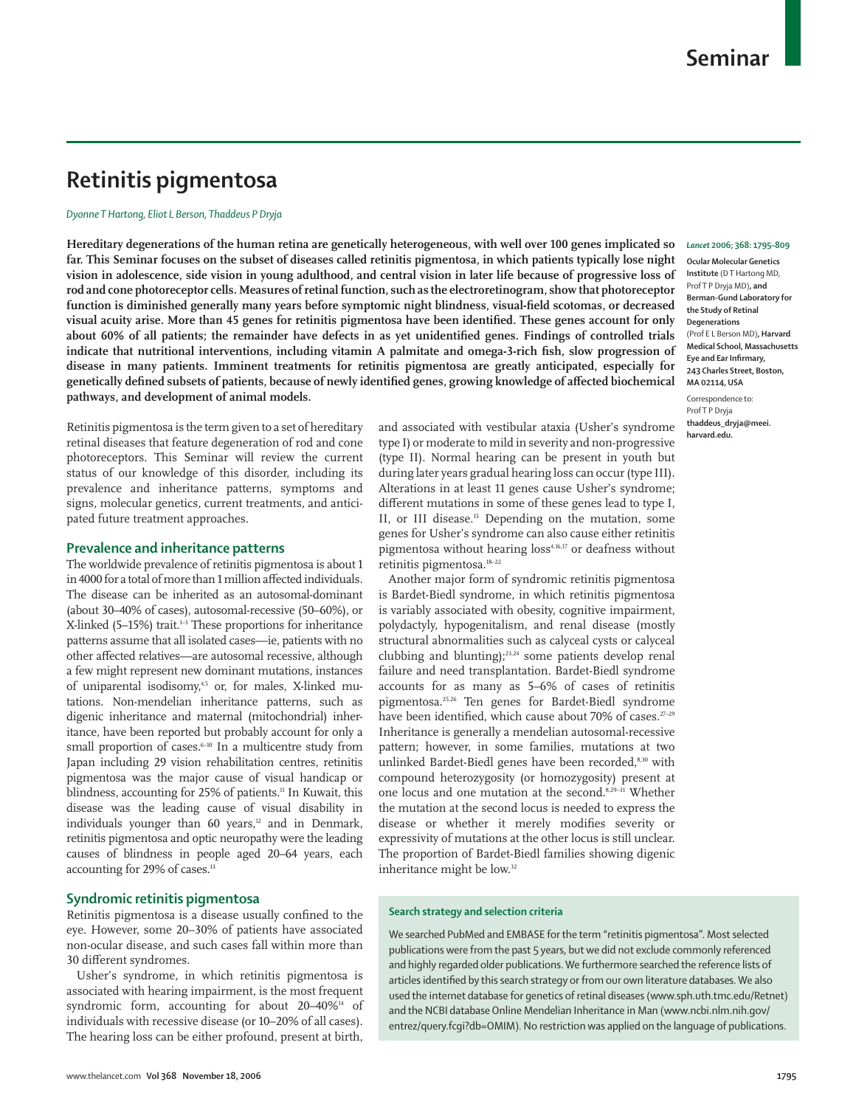# **Retinitis pigmentosa**

## *Dyonne T Hartong, Eliot L Berson, Thaddeus P Dryja*

**Hereditary degenerations of the human retina are genetically heterogeneous, with well over 100 genes implicated so far. This Seminar focuses on the subset of diseases called retinitis pigmentosa, in which patients typically lose night vision in adolescence, side vision in young adulthood, and central vision in later life because of progressive loss of rod and cone photoreceptor cells. Measures of retinal function, such as the electroretinogram, show that photoreceptor**  function is diminished generally many years before symptomic night blindness, visual-field scotomas, or decreased visual acuity arise. More than 45 genes for retinitis pigmentosa have been identified. These genes account for only about 60% of all patients; the remainder have defects in as yet unidentified genes. Findings of controlled trials indicate that nutritional interventions, including vitamin A palmitate and omega-3-rich fish, slow progression of **disease in many patients. Imminent treatments for retinitis pigmentosa are greatly anticipated, especially for**  genetically defined subsets of patients, because of newly identified genes, growing knowledge of affected biochemical **pathways, and development of animal models.**

Retinitis pigmentosa is the term given to a set of hereditary retinal diseases that feature degeneration of rod and cone photoreceptors. This Seminar will review the current status of our knowledge of this disorder, including its prevalence and inheritance patterns, symptoms and signs, molecular genetics, current treatments, and anticipated future treatment approaches.

# **Prevalence and inheritance patterns**

The worldwide prevalence of retinitis pigmentosa is about 1 in 4000 for a total of more than 1 million affected individuals. The disease can be inherited as an autosomal-dominant (about 30–40% of cases), autosomal-recessive (50–60%), or X-linked (5–15%) trait.<sup>1-3</sup> These proportions for inheritance patterns assume that all isolated cases—ie, patients with no other affected relatives—are autosomal recessive, although a few might represent new dominant mutations, instances of uniparental isodisomy,<sup>4,5</sup> or, for males, X-linked mutations. Non-mendelian inheritance patterns, such as digenic inheritance and maternal (mitochondrial) inheritance, have been reported but probably account for only a small proportion of cases.<sup>6-10</sup> In a multicentre study from Japan including 29 vision rehabilitation centres, retinitis pigmentosa was the major cause of visual handicap or blindness, accounting for 25% of patients.<sup>11</sup> In Kuwait, this disease was the leading cause of visual disability in individuals younger than  $60$  years,<sup>12</sup> and in Denmark, retinitis pigmentosa and optic neuropathy were the leading causes of blindness in people aged 20–64 years, each accounting for 29% of cases.<sup>13</sup>

## **Syndromic retinitis pigmentosa**

Retinitis pigmentosa is a disease usually confined to the eye. However, some 20–30% of patients have associated non-ocular disease, and such cases fall within more than 30 different syndromes.

Usher's syndrome, in which retinitis pigmentosa is associated with hearing impairment, is the most frequent syndromic form, accounting for about 20–40%<sup>14</sup> of individuals with recessive disease (or 10–20% of all cases). The hearing loss can be either profound, present at birth, and associated with vestibular ataxia (Usher's syndrome type I) or moderate to mild in severity and non-progressive (type II). Normal hearing can be present in youth but during later years gradual hearing loss can occur (type III). Alterations in at least 11 genes cause Usher's syndrome; different mutations in some of these genes lead to type I, II, or III disease.<sup>15</sup> Depending on the mutation, some genes for Usher's syndrome can also cause either retinitis pigmentosa without hearing loss<sup>4,16,17</sup> or deafness without retinitis pigmentosa.18–22

Another major form of syndromic retinitis pigmentosa is Bardet-Biedl syndrome, in which retinitis pigmentosa is variably associated with obesity, cognitive impairment, polydactyly, hypogenitalism, and renal disease (mostly structural abnormalities such as calyceal cysts or calyceal clubbing and blunting);23,24 some patients develop renal failure and need transplantation. Bardet-Biedl syndrome accounts for as many as 5–6% of cases of retinitis pigmentosa.25,26 Ten genes for Bardet-Biedl syndrome have been identified, which cause about 70% of cases.<sup>27-29</sup> Inheritance is generally a mendelian autosomal-recessive pattern; however, in some families, mutations at two unlinked Bardet-Biedl genes have been recorded,<sup>8,30</sup> with compound heterozygosity (or homozygosity) present at one locus and one mutation at the second.8,29–31 Whether the mutation at the second locus is needed to express the disease or whether it merely modifies severity or expressivity of mutations at the other locus is still unclear. The proportion of Bardet-Biedl families showing digenic inheritance might be low.<sup>32</sup>

## **Search strategy and selection criteria**

We searched PubMed and EMBASE for the term "retinitis pigmentosa". Most selected publications were from the past 5 years, but we did not exclude commonly referenced and highly regarded older publications. We furthermore searched the reference lists of articles identified by this search strategy or from our own literature databases. We also used the internet database for genetics of retinal diseases (www.sph.uth.tmc.edu/Retnet) and the NCBI database Online Mendelian Inheritance in Man (www.ncbi.nlm.nih.gov/ entrez/query.fcgi?db=OMIM). No restriction was applied on the language of publications.

#### *Lancet* **2006; 368: 1795–809**

**Ocular Molecular Genetics Institute** (D T Hartong MD, Prof T P Dryja MD)**, and Berman-Gund Laboratory for the Study of Retinal Degenerations**  (Prof E L Berson MD)**, Harvard Medical School, Massachusetts Eye and Ear Infirmary, 243 Charles Street, Boston, MA 02114, USA**

Correspondence to: Prof T P Dryja **thaddeus\_dryja@meei. harvard.edu.**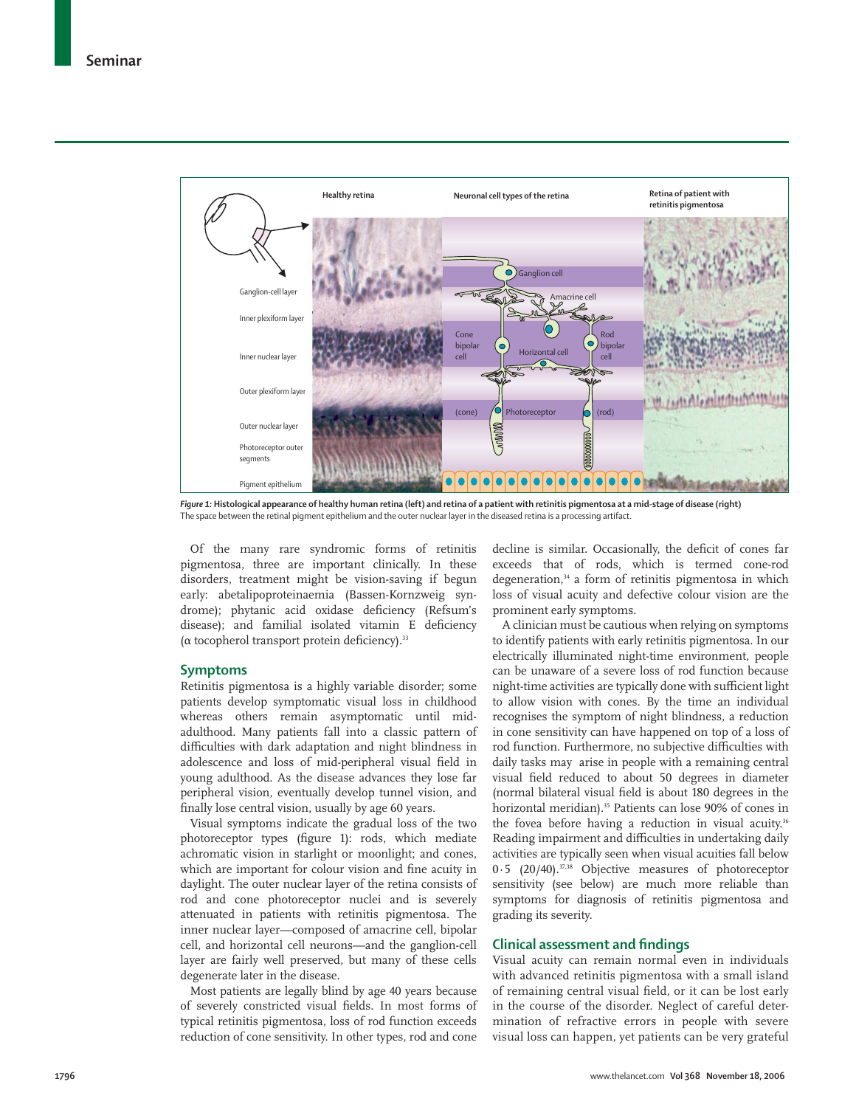

*Figure 1:* **Histological appearance of healthy human retina (left) and retina of a patient with retinitis pigmentosa at a mid-stage of disease (right)** The space between the retinal pigment epithelium and the outer nuclear layer in the diseased retina is a processing artifact.

Of the many rare syndromic forms of retinitis pigmentosa, three are important clinically. In these disorders, treatment might be vision-saving if begun early: abetalipoproteinaemia (Bassen-Kornzweig syndrome); phytanic acid oxidase deficiency (Refsum's disease); and familial isolated vitamin E deficiency ( $\alpha$  tocopherol transport protein deficiency).<sup>33</sup>

## **Symptoms**

Retinitis pigmentosa is a highly variable disorder; some patients develop symptomatic visual loss in childhood whereas others remain asymptomatic until midadulthood. Many patients fall into a classic pattern of difficulties with dark adaptation and night blindness in adolescence and loss of mid-peripheral visual field in young adulthood. As the disease advances they lose far peripheral vision, eventually develop tunnel vision, and finally lose central vision, usually by age 60 years.

Visual symptoms indicate the gradual loss of the two photoreceptor types (figure 1): rods, which mediate achromatic vision in starlight or moonlight; and cones, which are important for colour vision and fine acuity in daylight. The outer nuclear layer of the retina consists of rod and cone photoreceptor nuclei and is severely attenuated in patients with retinitis pigmentosa. The inner nuclear layer—composed of amacrine cell, bipolar cell, and horizontal cell neurons—and the ganglion-cell layer are fairly well preserved, but many of these cells degenerate later in the disease.

Most patients are legally blind by age 40 years because of severely constricted visual fields. In most forms of typical retinitis pigmentosa, loss of rod function exceeds reduction of cone sensitivity. In other types, rod and cone decline is similar. Occasionally, the deficit of cones far exceeds that of rods, which is termed cone-rod degeneration,<sup>34</sup> a form of retinitis pigmentosa in which loss of visual acuity and defective colour vision are the prominent early symptoms.

A clinician must be cautious when relying on symptoms to identify patients with early retinitis pigmentosa. In our electrically illuminated night-time environment, people can be unaware of a severe loss of rod function because night-time activities are typically done with sufficient light to allow vision with cones. By the time an individual recognises the symptom of night blindness, a reduction in cone sensitivity can have happened on top of a loss of rod function. Furthermore, no subjective difficulties with daily tasks may arise in people with a remaining central visual field reduced to about 50 degrees in diameter (normal bilateral visual field is about 180 degrees in the horizontal meridian).<sup>35</sup> Patients can lose 90% of cones in the fovea before having a reduction in visual acuity.<sup>36</sup> Reading impairment and difficulties in undertaking daily activities are typically seen when visual acuities fall below 0·5 (20/40).<sup>37,38</sup> Objective measures of photoreceptor sensitivity (see below) are much more reliable than symptoms for diagnosis of retinitis pigmentosa and grading its severity.

# **Clinical assessment and findings**

Visual acuity can remain normal even in individuals with advanced retinitis pigmentosa with a small island of remaining central visual field, or it can be lost early in the course of the disorder. Neglect of careful determination of refractive errors in people with severe visual loss can happen, yet patients can be very grateful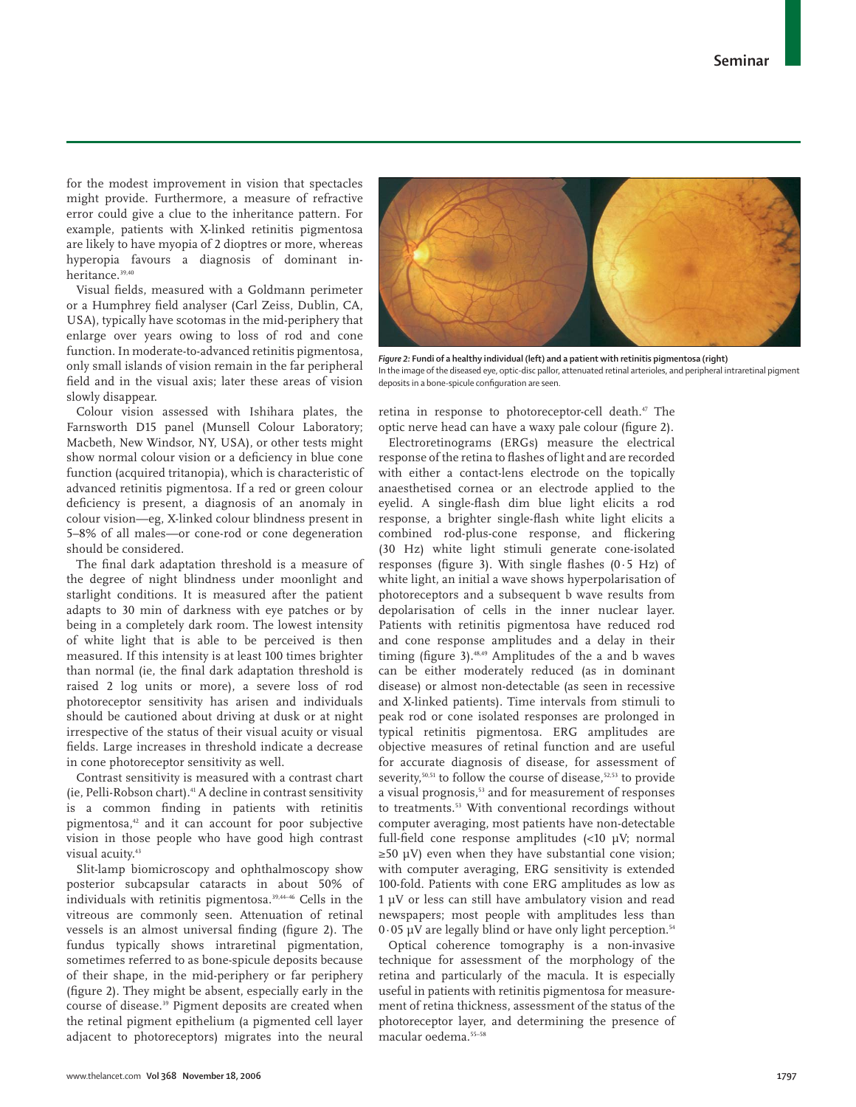for the modest improvement in vision that spectacles might provide. Furthermore, a measure of refractive error could give a clue to the inheritance pattern. For example, patients with X-linked retinitis pigmentosa are likely to have myopia of 2 dioptres or more, whereas hyperopia favours a diagnosis of dominant inheritance.39,40

Visual fields, measured with a Goldmann perimeter or a Humphrey field analyser (Carl Zeiss, Dublin, CA, USA), typically have scotomas in the mid-periphery that enlarge over years owing to loss of rod and cone function. In moderate-to-advanced retinitis pigmentosa, only small islands of vision remain in the far peripheral field and in the visual axis; later these areas of vision slowly disappear.

Colour vision assessed with Ishihara plates, the Farnsworth D15 panel (Munsell Colour Laboratory; Macbeth, New Windsor, NY, USA), or other tests might show normal colour vision or a deficiency in blue cone function (acquired tritanopia), which is characteristic of advanced retinitis pigmentosa. If a red or green colour deficiency is present, a diagnosis of an anomaly in colour vision—eg, X-linked colour blindness present in 5–8% of all males—or cone-rod or cone degeneration should be considered.

The final dark adaptation threshold is a measure of the degree of night blindness under moonlight and starlight conditions. It is measured after the patient adapts to 30 min of darkness with eye patches or by being in a completely dark room. The lowest intensity of white light that is able to be perceived is then measured. If this intensity is at least 100 times brighter than normal (ie, the final dark adaptation threshold is raised 2 log units or more), a severe loss of rod photoreceptor sensitivity has arisen and individuals should be cautioned about driving at dusk or at night irrespective of the status of their visual acuity or visual fields. Large increases in threshold indicate a decrease in cone photoreceptor sensitivity as well.

Contrast sensitivity is measured with a contrast chart (ie, Pelli-Robson chart).41 A decline in contrast sensitivity is a common finding in patients with retinitis pigmentosa,42 and it can account for poor subjective vision in those people who have good high contrast visual acuity.<sup>43</sup>

Slit-lamp biomicroscopy and ophthalmoscopy show posterior subcapsular cataracts in about 50% of individuals with retinitis pigmentosa.39,44–46 Cells in the vitreous are commonly seen. Attenuation of retinal vessels is an almost universal finding (figure 2). The fundus typically shows intraretinal pigmentation, sometimes referred to as bone-spicule deposits because of their shape, in the mid-periphery or far periphery (figure 2). They might be absent, especially early in the course of disease.39 Pigment deposits are created when the retinal pigment epithelium (a pigmented cell layer adjacent to photoreceptors) migrates into the neural



*Figure 2:* **Fundi of a healthy individual (left) and a patient with retinitis pigmentosa (right)** In the image of the diseased eye, optic-disc pallor, attenuated retinal arterioles, and peripheral intraretinal pigment deposits in a bone-spicule configuration are seen.

retina in response to photoreceptor-cell death.<sup>47</sup> The optic nerve head can have a waxy pale colour (figure 2).

Electroretinograms (ERGs) measure the electrical response of the retina to flashes of light and are recorded with either a contact-lens electrode on the topically anaesthetised cornea or an electrode applied to the eyelid. A single-flash dim blue light elicits a rod response, a brighter single-flash white light elicits a combined rod-plus-cone response, and flickering (30 Hz) white light stimuli generate cone-isolated responses (figure 3). With single flashes  $(0.5 \text{ Hz})$  of white light, an initial a wave shows hyperpolarisation of photoreceptors and a subsequent b wave results from depolarisation of cells in the inner nuclear layer. Patients with retinitis pigmentosa have reduced rod and cone response amplitudes and a delay in their timing (figure 3). $48,49$  Amplitudes of the a and b waves can be either moderately reduced (as in dominant disease) or almost non-detectable (as seen in recessive and X-linked patients). Time intervals from stimuli to peak rod or cone isolated responses are prolonged in typical retinitis pigmentosa. ERG amplitudes are objective measures of retinal function and are useful for accurate diagnosis of disease, for assessment of severity,<sup>50,51</sup> to follow the course of disease,<sup>52,53</sup> to provide a visual prognosis,<sup>53</sup> and for measurement of responses to treatments.<sup>53</sup> With conventional recordings without computer averaging, most patients have non-detectable full-field cone response amplitudes  $\langle$ <10 μV; normal  $\geq$ 50 μV) even when they have substantial cone vision; with computer averaging, ERG sensitivity is extended 100-fold. Patients with cone ERG amplitudes as low as 1 μV or less can still have ambulatory vision and read newspapers; most people with amplitudes less than  $0.05 \mu$ V are legally blind or have only light perception.<sup>54</sup>

Optical coherence tomography is a non-invasive technique for assessment of the morphology of the retina and particularly of the macula. It is especially useful in patients with retinitis pigmentosa for measurement of retina thickness, assessment of the status of the photoreceptor layer, and determining the presence of macular oedema.55–58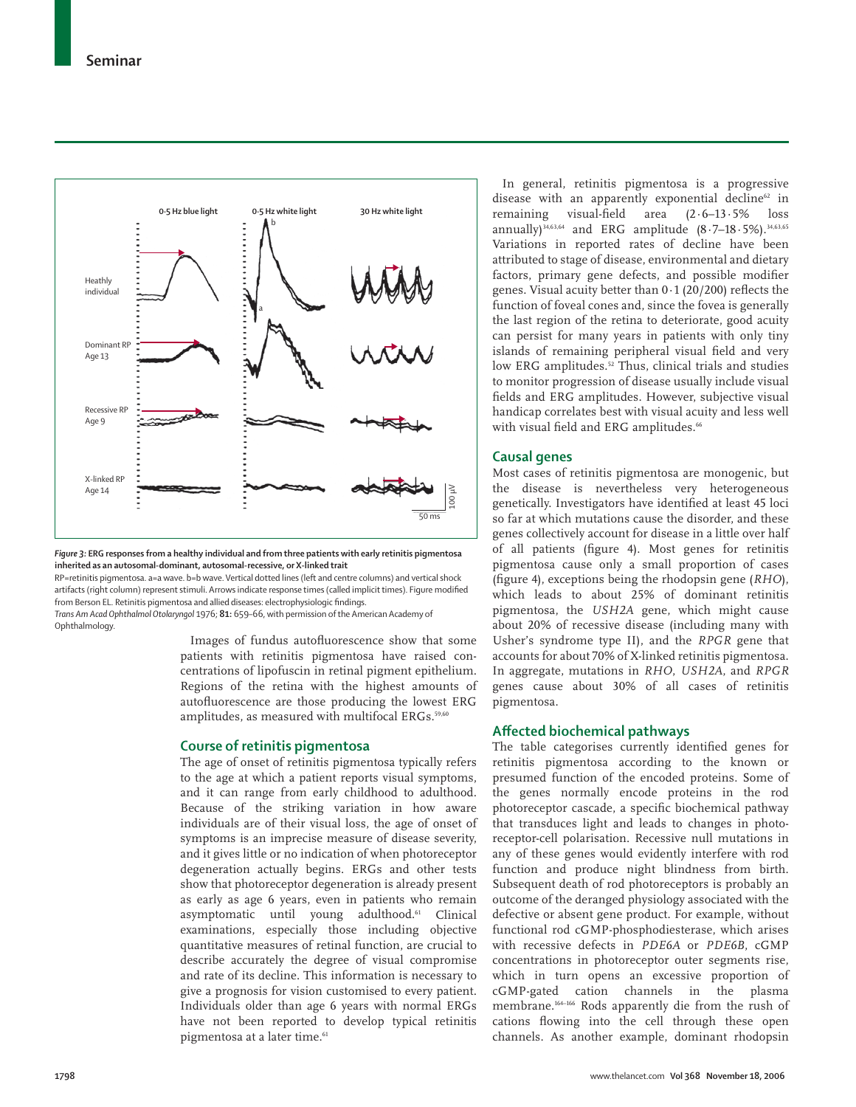

*Figure 3:* **ERG responses from a healthy individual and from three patients with early retinitis pigmentosa inherited as an autosomal-dominant, autosomal-recessive, or X-linked trait**

RP=retinitis pigmentosa. a=a wave. b=b wave. Vertical dotted lines (left and centre columns) and vertical shock artifacts (right column) represent stimuli. Arrows indicate response times (called implicit times). Figure modified from Berson EL. Retinitis pigmentosa and allied diseases: electrophysiologic findings. *Trans Am Acad Ophthalmol Otolaryngol* 1976; **81:** 659–66, with permission of the American Academy of Ophthalmology.

> Images of fundus autofluorescence show that some patients with retinitis pigmentosa have raised concentrations of lipofuscin in retinal pigment epithelium. Regions of the retina with the highest amounts of autofluorescence are those producing the lowest ERG amplitudes, as measured with multifocal ERGs.<sup>59,60</sup>

## **Course of retinitis pigmentosa**

The age of onset of retinitis pigmentosa typically refers to the age at which a patient reports visual symptoms, and it can range from early childhood to adulthood. Because of the striking variation in how aware individuals are of their visual loss, the age of onset of symptoms is an imprecise measure of disease severity, and it gives little or no indication of when photoreceptor degeneration actually begins. ERGs and other tests show that photoreceptor degeneration is already present as early as age 6 years, even in patients who remain asymptomatic until young adulthood.61 Clinical examinations, especially those including objective quantitative measures of retinal function, are crucial to describe accurately the degree of visual compromise and rate of its decline. This information is necessary to give a prognosis for vision customised to every patient. Individuals older than age 6 years with normal ERGs have not been reported to develop typical retinitis pigmentosa at a later time.<sup>61</sup>

In general, retinitis pigmentosa is a progressive disease with an apparently exponential decline $62$  in remaining visual-field area  $(2.6-13.5\%$  loss annually)<sup>34,63,64</sup> and ERG amplitude  $(8.7-18.5\%)$ . <sup>34,63,65</sup> Variations in reported rates of decline have been attributed to stage of disease, environmental and dietary factors, primary gene defects, and possible modifier genes. Visual acuity better than  $0.1$  (20/200) reflects the function of foveal cones and, since the fovea is generally the last region of the retina to deteriorate, good acuity can persist for many years in patients with only tiny islands of remaining peripheral visual field and very low ERG amplitudes.<sup>52</sup> Thus, clinical trials and studies to monitor progression of disease usually include visual fields and ERG amplitudes. However, subjective visual handicap correlates best with visual acuity and less well with visual field and ERG amplitudes.<sup>66</sup>

# **Causal genes**

Most cases of retinitis pigmentosa are monogenic, but the disease is nevertheless very heterogeneous genetically. Investigators have identified at least 45 loci so far at which mutations cause the disorder, and these genes collectively account for disease in a little over half of all patients (figure 4). Most genes for retinitis pigmentosa cause only a small proportion of cases (figure 4), exceptions being the rhodopsin gene (*RHO*), which leads to about 25% of dominant retinitis pigmentosa, the *USH2A* gene, which might cause about 20% of recessive disease (including many with Usher's syndrome type II), and the *RPGR* gene that accounts for about 70% of X-linked retinitis pigmentosa. In aggregate, mutations in *RHO*, *USH2A*, and *RPGR* genes cause about 30% of all cases of retinitis pigmentosa.

# **Aff ected biochemical pathways**

The table categorises currently identified genes for retinitis pigmentosa according to the known or presumed function of the encoded proteins. Some of the genes normally encode proteins in the rod photoreceptor cascade, a specific biochemical pathway that transduces light and leads to changes in photoreceptor-cell polarisation. Recessive null mutations in any of these genes would evidently interfere with rod function and produce night blindness from birth. Subsequent death of rod photoreceptors is probably an outcome of the deranged physiology associated with the defective or absent gene product. For example, without functional rod cGMP-phosphodiesterase, which arises with recessive defects in *PDE6A* or *PDE6B*, cGMP concentrations in photoreceptor outer segments rise, which in turn opens an excessive proportion of cGMP-gated cation channels in the plasma membrane.164–166 Rods apparently die from the rush of cations flowing into the cell through these open channels. As another example, dominant rhodopsin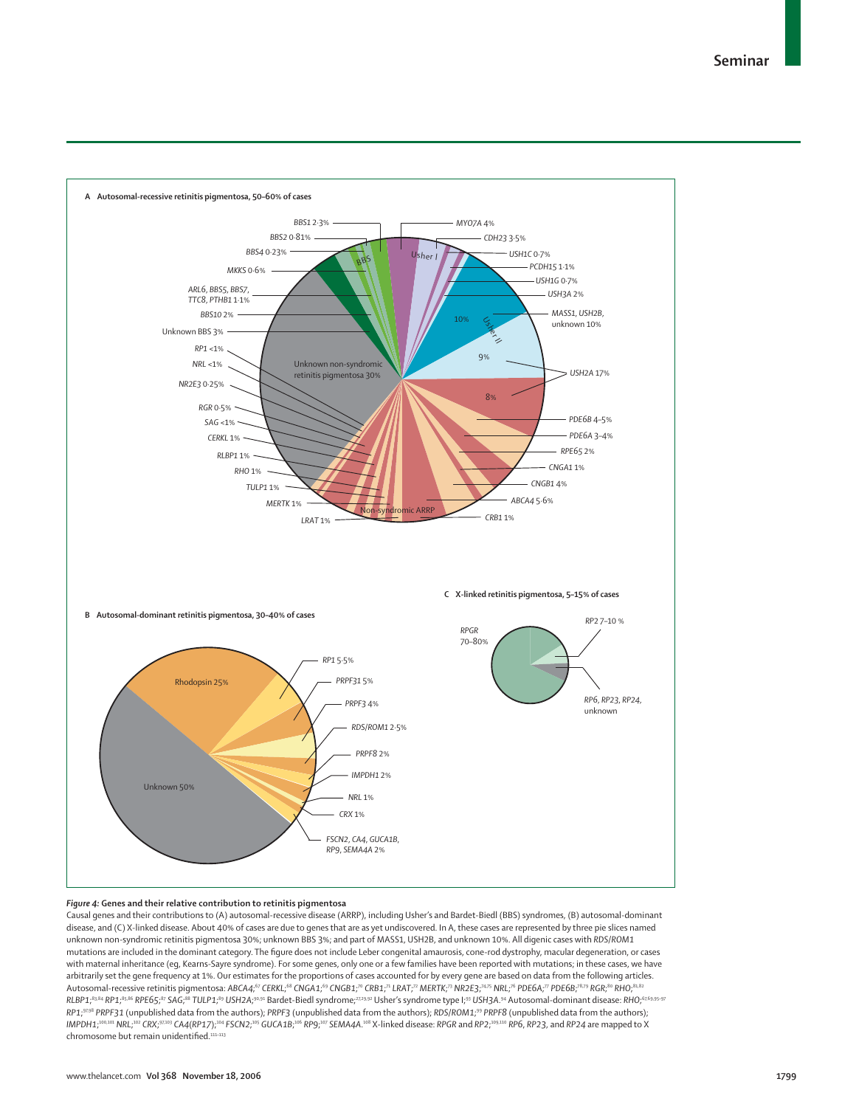

#### *Figure 4:* **Genes and their relative contribution to retinitis pigmentosa**

Causal genes and their contributions to (A) autosomal-recessive disease (ARRP), including Usher's and Bardet-Biedl (BBS) syndromes, (B) autosomal-dominant disease, and (C) X-linked disease. About 40% of cases are due to genes that are as yet undiscovered. In A, these cases are represented by three pie slices named unknown non-syndromic retinitis pigmentosa 30%; unknown BBS 3%; and part of MASS1, USH2B, and unknown 10%. All digenic cases with *RDS*/*ROM1* mutations are included in the dominant category. The figure does not include Leber congenital amaurosis, cone-rod dystrophy, macular degeneration, or cases with maternal inheritance (eg, Kearns-Sayre syndrome). For some genes, only one or a few families have been reported with mutations; in these cases, we have arbitrarily set the gene frequency at 1%. Our estimates for the proportions of cases accounted for by every gene are based on data from the following articles. Autosomal-recessive retinitis pigmentosa: ABCA4;<sup>67</sup> CERKL;<sup>68</sup> CNGA1;<sup>69</sup> CNGB1;<sup>70</sup> CRB1;<sup>71</sup> LRAT;<sup>72</sup> MERTK;<sup>73</sup> MR2E3;<sup>74,75</sup> NRL;<sup>76</sup> PDE6A;<sup>77</sup> PDE6B;<sup>78,79</sup> RGR;<sup>80</sup> RHO;<sup>81,82</sup> RLBP1;<sup>83,84</sup> RP1;<sup>95,86</sup> RPE65;<sup>87</sup> SAG;<sup>88</sup> TULP1;<sup>89</sup> USH2A;<sup>90,91</sup> Bardet-Biedl syndrome;<sup>2729,92</sup> Usher's syndrome type I;<sup>93</sup> USH3A.<sup>94</sup> Autosomal-dominant disease: RH0;<sup>67,69,95-97</sup> *RP1*; 97,98 *PRPF31* (unpublished data from the authors); *PRPF3* (unpublished data from the authors); *RDS*/*ROM1*; <sup>99</sup> *PRPF8* (unpublished data from the authors); IMPDH1;<sup>100,101</sup> NRL;<sup>102</sup> CRX;<sup>97,103</sup> CA4(RP17);<sup>104</sup> FSCN2;<sup>105</sup> GUCA1B;<sup>106</sup> RP9;<sup>107</sup> SEMA4A.<sup>108</sup> X-linked disease: RPGR and RP2;<sup>109,110</sup> RP6, RP23, and RP24 are mapped to X chromosome but remain unidentified.<sup>111-113</sup>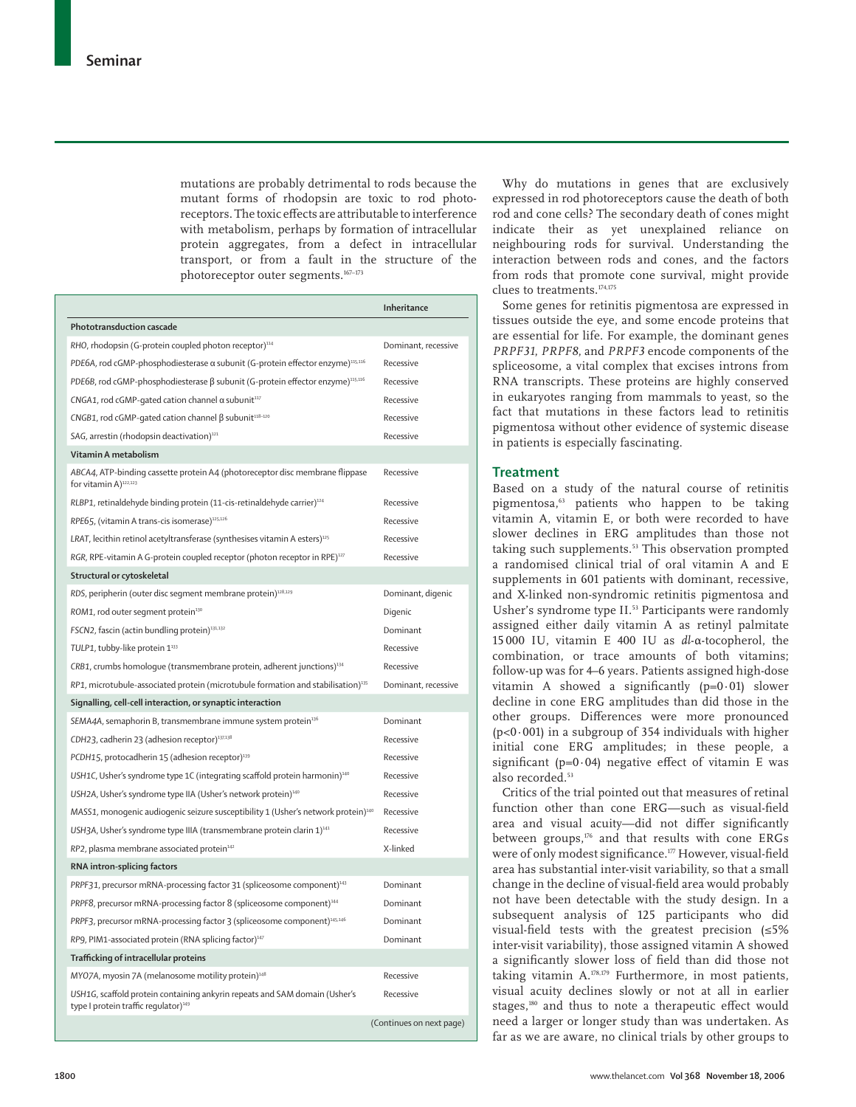mutations are probably detrimental to rods because the mutant forms of rhodopsin are toxic to rod photoreceptors. The toxic effects are attributable to interference with metabolism, perhaps by formation of intracellular protein aggregates, from a defect in intracellular transport, or from a fault in the structure of the photoreceptor outer segments.<sup>167-173</sup>

|                                                                                                                                | <b>Inheritance</b>       |
|--------------------------------------------------------------------------------------------------------------------------------|--------------------------|
| Phototransduction cascade                                                                                                      |                          |
| RHO, rhodopsin (G-protein coupled photon receptor) <sup>114</sup>                                                              | Dominant, recessive      |
| PDE6A, rod cGMP-phosphodiesterase a subunit (G-protein effector enzyme) <sup>115,116</sup>                                     | Recessive                |
| PDE6B, rod cGMP-phosphodiesterase $\beta$ subunit (G-protein effector enzyme) <sup>115,116</sup>                               | Recessive                |
| CNGA1, rod cGMP-gated cation channel $\alpha$ subunit $117$                                                                    | Recessive                |
| CNGB1, rod cGMP-qated cation channel $\beta$ subunit <sup>118-120</sup>                                                        | Recessive                |
| SAG, arrestin (rhodopsin deactivation) <sup>121</sup>                                                                          | Recessive                |
| Vitamin A metabolism                                                                                                           |                          |
| ABCA4, ATP-binding cassette protein A4 (photoreceptor disc membrane flippase<br>for vitamin A) <sup>122,123</sup>              | Recessive                |
| RLBP1, retinaldehyde binding protein (11-cis-retinaldehyde carrier) <sup>124</sup>                                             | Recessive                |
| RPE65, (vitamin A trans-cis isomerase) <sup>125,126</sup>                                                                      | Recessive                |
| LRAT, lecithin retinol acetyltransferase (synthesises vitamin A esters) <sup>125</sup>                                         | Recessive                |
| RGR, RPE-vitamin A G-protein coupled receptor (photon receptor in RPE) <sup>127</sup>                                          | Recessive                |
| Structural or cytoskeletal                                                                                                     |                          |
| RDS, peripherin (outer disc segment membrane protein) <sup>128,129</sup>                                                       | Dominant, digenic        |
| ROM1, rod outer segment protein <sup>130</sup>                                                                                 | Digenic                  |
| FSCN2, fascin (actin bundling protein) <sup>131,132</sup>                                                                      | Dominant                 |
| TULP1, tubby-like protein 1 <sup>133</sup>                                                                                     | Recessive                |
| CRB1, crumbs homologue (transmembrane protein, adherent junctions) <sup>134</sup>                                              | Recessive                |
| RP1, microtubule-associated protein (microtubule formation and stabilisation) <sup>135</sup>                                   | Dominant, recessive      |
| Signalling, cell-cell interaction, or synaptic interaction                                                                     |                          |
| SEMA4A, semaphorin B, transmembrane immune system protein <sup>136</sup>                                                       | Dominant                 |
| CDH23, cadherin 23 (adhesion receptor) <sup>137,138</sup>                                                                      | Recessive                |
| PCDH15, protocadherin 15 (adhesion receptor) <sup>139</sup>                                                                    | Recessive                |
| USH1C, Usher's syndrome type 1C (integrating scaffold protein harmonin) <sup>140</sup>                                         | Recessive                |
| USH2A, Usher's syndrome type IIA (Usher's network protein) <sup>140</sup>                                                      | Recessive                |
| MASS1, monogenic audiogenic seizure susceptibility 1 (Usher's network protein) <sup>140</sup>                                  | Recessive                |
| USH3A, Usher's syndrome type IIIA (transmembrane protein clarin 1) <sup>141</sup>                                              | Recessive                |
| RP2, plasma membrane associated protein <sup>142</sup>                                                                         | X-linked                 |
| RNA intron-splicing factors                                                                                                    |                          |
| PRPF31, precursor mRNA-processing factor 31 (spliceosome component) <sup>143</sup>                                             | Dominant                 |
| PRPF8, precursor mRNA-processing factor 8 (spliceosome component) <sup>144</sup>                                               | Dominant                 |
| PRPF3, precursor mRNA-processing factor 3 (spliceosome component) <sup>145,146</sup>                                           | Dominant                 |
| RP9, PIM1-associated protein (RNA splicing factor) <sup>147</sup>                                                              | Dominant                 |
| Trafficking of intracellular proteins                                                                                          |                          |
| MY07A, myosin 7A (melanosome motility protein) <sup>148</sup>                                                                  | Recessive                |
| USH1G, scaffold protein containing ankyrin repeats and SAM domain (Usher's<br>type I protein traffic requlator) <sup>149</sup> | Recessive                |
|                                                                                                                                | (Continues on next page) |

Why do mutations in genes that are exclusively expressed in rod photoreceptors cause the death of both rod and cone cells? The secondary death of cones might indicate their as yet unexplained reliance on neighbouring rods for survival. Understanding the interaction between rods and cones, and the factors from rods that promote cone survival, might provide clues to treatments.174,175

Some genes for retinitis pigmentosa are expressed in tissues outside the eye, and some encode proteins that are essential for life. For example, the dominant genes *PRPF31*, *PRPF8*, and *PRPF3* encode components of the spliceosome, a vital complex that excises introns from RNA transcripts. These proteins are highly conserved in eukaryotes ranging from mammals to yeast, so the fact that mutations in these factors lead to retinitis pigmentosa without other evidence of systemic disease in patients is especially fascinating.

# **Treatment**

Based on a study of the natural course of retinitis pigmentosa,<sup>63</sup> patients who happen to be taking vitamin A, vitamin E, or both were recorded to have slower declines in ERG amplitudes than those not taking such supplements.<sup>53</sup> This observation prompted a randomised clinical trial of oral vitamin A and E supplements in 601 patients with dominant, recessive, and X-linked non-syndromic retinitis pigmentosa and Usher's syndrome type II.<sup>53</sup> Participants were randomly assigned either daily vitamin A as retinyl palmitate 15 000 IU, vitamin E 400 IU as *dl*-α-tocopherol, the combination, or trace amounts of both vitamins; follow-up was for 4–6 years. Patients assigned high-dose vitamin A showed a significantly  $(p=0.01)$  slower decline in cone ERG amplitudes than did those in the other groups. Differences were more pronounced  $(p<0.001)$  in a subgroup of 354 individuals with higher initial cone ERG amplitudes; in these people, a significant (p=0·04) negative effect of vitamin E was also recorded.<sup>53</sup>

Critics of the trial pointed out that measures of retinal function other than cone ERG—such as visual-field area and visual acuity-did not differ significantly between groups,<sup>176</sup> and that results with cone ERGs were of only modest significance.<sup>177</sup> However, visual-field area has substantial inter-visit variability, so that a small change in the decline of visual-field area would probably not have been detectable with the study design. In a subsequent analysis of 125 participants who did visual-field tests with the greatest precision  $(≤5%)$ inter-visit variability), those assigned vitamin A showed a significantly slower loss of field than did those not taking vitamin A.178,179 Furthermore, in most patients, visual acuity declines slowly or not at all in earlier stages,<sup>180</sup> and thus to note a therapeutic effect would need a larger or longer study than was undertaken. As far as we are aware, no clinical trials by other groups to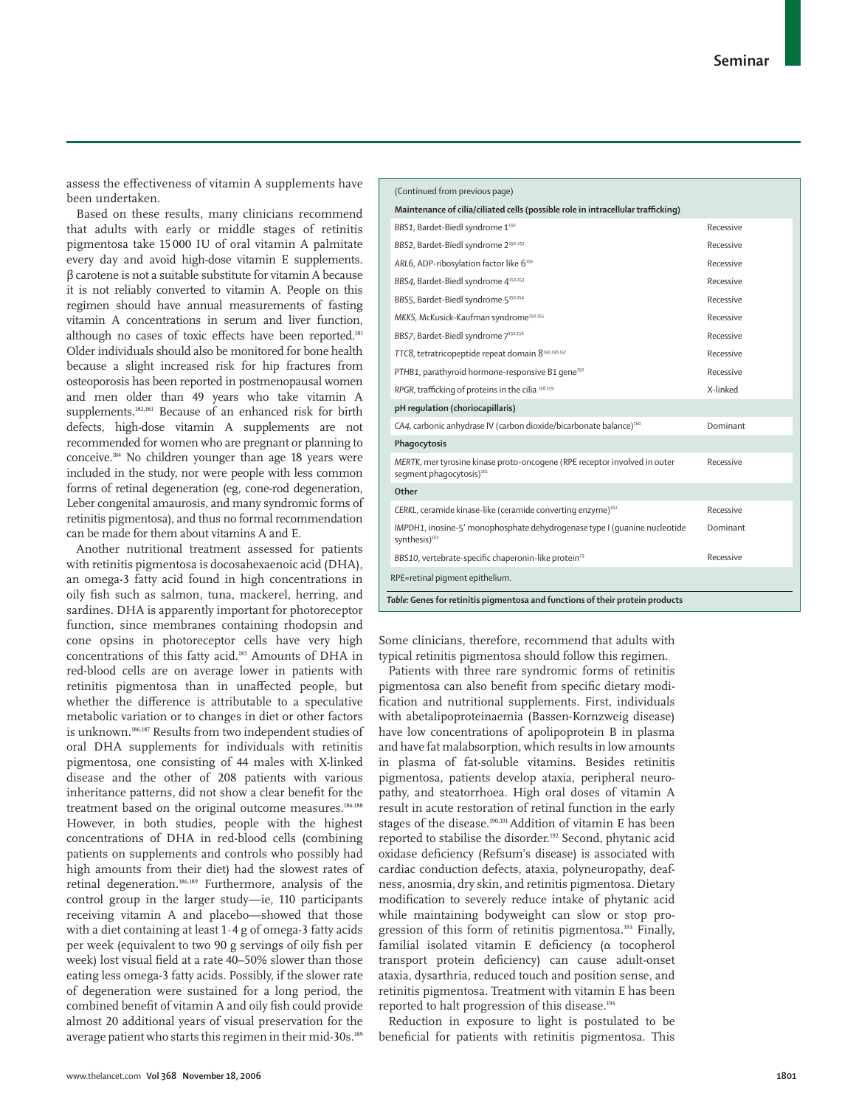assess the effectiveness of vitamin A supplements have been undertaken.

Based on these results, many clinicians recommend that adults with early or middle stages of retinitis pigmentosa take 15 000 IU of oral vitamin A palmitate every day and avoid high-dose vitamin E supplements. β carotene is not a suitable substitute for vitamin A because it is not reliably converted to vitamin A. People on this regimen should have annual measurements of fasting vitamin A concentrations in serum and liver function, although no cases of toxic effects have been reported.<sup>181</sup> Older individuals should also be monitored for bone health because a slight increased risk for hip fractures from osteoporosis has been reported in postmenopausal women and men older than 49 years who take vitamin A supplements.182,183 Because of an enhanced risk for birth defects, high-dose vitamin A supplements are not recommended for women who are pregnant or planning to conceive.184 No children younger than age 18 years were included in the study, nor were people with less common forms of retinal degeneration (eg, cone-rod degeneration, Leber congenital amaurosis, and many syndromic forms of retinitis pigmentosa), and thus no formal recommendation can be made for them about vitamins A and E.

Another nutritional treatment assessed for patients with retinitis pigmentosa is docosahexaenoic acid (DHA), an omega-3 fatty acid found in high concentrations in oily fish such as salmon, tuna, mackerel, herring, and sardines. DHA is apparently important for photoreceptor function, since membranes containing rhodopsin and cone opsins in photoreceptor cells have very high concentrations of this fatty acid.185 Amounts of DHA in red-blood cells are on average lower in patients with retinitis pigmentosa than in unaffected people, but whether the difference is attributable to a speculative metabolic variation or to changes in diet or other factors is unknown.186,187 Results from two independent studies of oral DHA supplements for individuals with retinitis pigmentosa, one consisting of 44 males with X-linked disease and the other of 208 patients with various inheritance patterns, did not show a clear benefit for the treatment based on the original outcome measures.<sup>186,188</sup> However, in both studies, people with the highest concentrations of DHA in red-blood cells (combining patients on supplements and controls who possibly had high amounts from their diet) had the slowest rates of retinal degeneration.186,189 Furthermore, analysis of the control group in the larger study—ie, 110 participants receiving vitamin A and placebo—showed that those with a diet containing at least 1·4 g of omega-3 fatty acids per week (equivalent to two 90 g servings of oily fish per week) lost visual field at a rate 40–50% slower than those eating less omega-3 fatty acids. Possibly, if the slower rate of degeneration were sustained for a long period, the combined benefit of vitamin A and oily fish could provide almost 20 additional years of visual preservation for the average patient who starts this regimen in their mid-30s.189

| (Continued from previous page)                                                                                    |           |  |
|-------------------------------------------------------------------------------------------------------------------|-----------|--|
| Maintenance of cilia/ciliated cells (possible role in intracellular trafficking)                                  |           |  |
| BBS1, Bardet-Biedl syndrome 1 <sup>150</sup>                                                                      | Recessive |  |
| BBS2, Bardet-Biedl syndrome 2 <sup>150-152</sup>                                                                  | Recessive |  |
| ARL6, ADP-ribosylation factor like 6 <sup>150</sup>                                                               | Recessive |  |
| BBS4, Bardet-Biedl syndrome 4 <sup>150,153</sup>                                                                  | Recessive |  |
| BBS5, Bardet-Biedl syndrome 5 <sup>150,154</sup>                                                                  | Recessive |  |
| MKKS, McKusick-Kaufman syndrome <sup>150,155</sup>                                                                | Recessive |  |
| BBS7, Bardet-Biedl syndrome 7150,156                                                                              | Recessive |  |
| TTC8, tetratricopeptide repeat domain 8150,156,157                                                                | Recessive |  |
| PTHB1, parathyroid hormone-responsive B1 gene <sup>150</sup>                                                      | Recessive |  |
| RPGR, trafficking of proteins in the cilia <sup>158,159</sup>                                                     | X-linked  |  |
| pH regulation (choriocapillaris)                                                                                  |           |  |
| CA4, carbonic anhydrase IV (carbon dioxide/bicarbonate balance) <sup>160</sup>                                    | Dominant  |  |
| Phagocytosis                                                                                                      |           |  |
| MERTK, mer tyrosine kinase proto-oncogene (RPE receptor involved in outer<br>segment phagocytosis) <sup>161</sup> | Recessive |  |
| Other                                                                                                             |           |  |
| CERKL, ceramide kinase-like (ceramide converting enzyme) <sup>162</sup>                                           | Recessive |  |
| IMPDH1, inosine-5' monophosphate dehydrogenase type I (quanine nucleotide<br>synthesis) <sup>163</sup>            | Dominant  |  |
| BBS10, vertebrate-specific chaperonin-like protein <sup>29</sup>                                                  | Recessive |  |
| RPE=retinal pigment epithelium.                                                                                   |           |  |
| Table: Genes for retinitis pigmentosa and functions of their protein products                                     |           |  |

Some clinicians, therefore, recommend that adults with typical retinitis pigmentosa should follow this regimen.

Patients with three rare syndromic forms of retinitis pigmentosa can also benefit from specific dietary modification and nutritional supplements. First, individuals with abetalipoproteinaemia (Bassen-Kornzweig disease) have low concentrations of apolipoprotein B in plasma and have fat malabsorption, which results in low amounts in plasma of fat-soluble vitamins. Besides retinitis pigmentosa, patients develop ataxia, peripheral neuropathy, and steatorrhoea. High oral doses of vitamin A result in acute restoration of retinal function in the early stages of the disease.190,191 Addition of vitamin E has been reported to stabilise the disorder.192 Second, phytanic acid oxidase deficiency (Refsum's disease) is associated with cardiac conduction defects, ataxia, polyneuropathy, deafness, anosmia, dry skin, and retinitis pigmentosa. Dietary modification to severely reduce intake of phytanic acid while maintaining bodyweight can slow or stop progression of this form of retinitis pigmentosa.193 Finally, familial isolated vitamin E deficiency (α tocopherol transport protein deficiency) can cause adult-onset ataxia, dysarthria, reduced touch and position sense, and retinitis pigmentosa. Treatment with vitamin E has been reported to halt progression of this disease.194

Reduction in exposure to light is postulated to be beneficial for patients with retinitis pigmentosa. This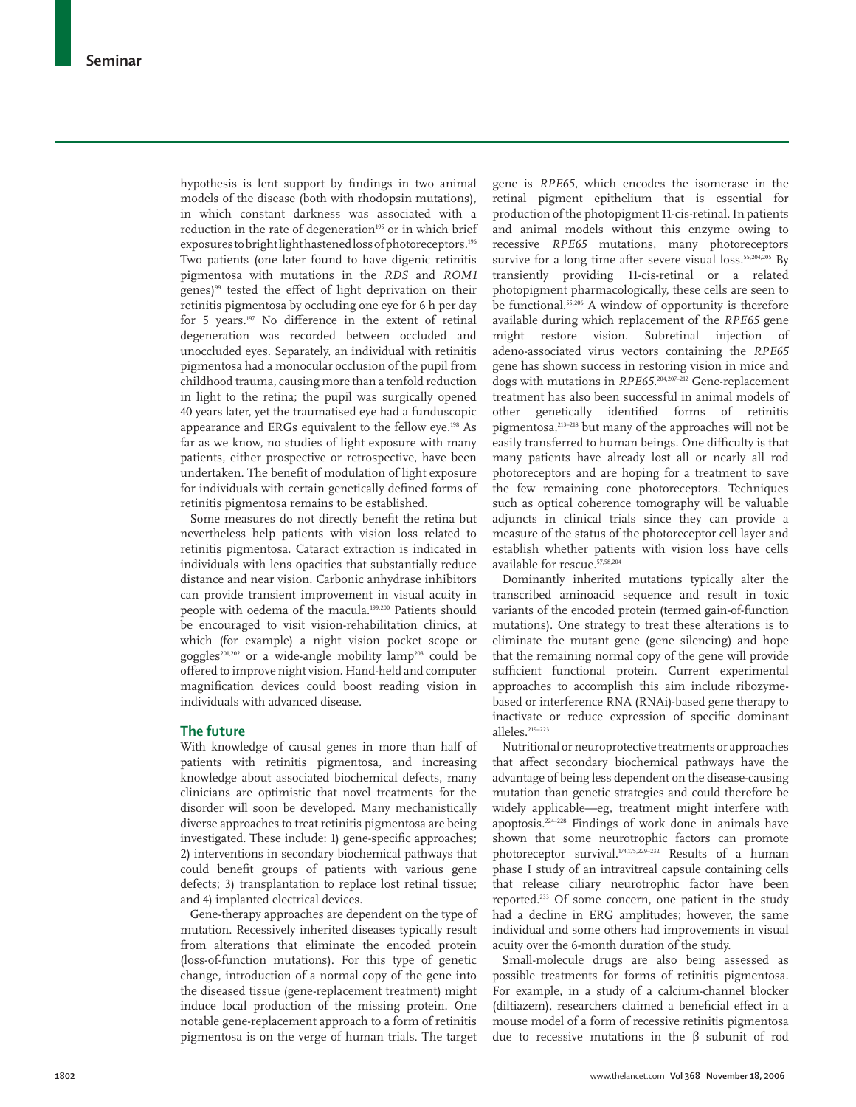hypothesis is lent support by findings in two animal models of the disease (both with rhodopsin mutations), in which constant darkness was associated with a reduction in the rate of degeneration<sup>195</sup> or in which brief exposures to bright light hastened loss of photoreceptors.196 Two patients (one later found to have digenic retinitis pigmentosa with mutations in the *RDS* and *ROM1* genes)<sup>99</sup> tested the effect of light deprivation on their retinitis pigmentosa by occluding one eye for 6 h per day for 5 years.<sup>197</sup> No difference in the extent of retinal degeneration was recorded between occluded and unoccluded eyes. Separately, an individual with retinitis pigmentosa had a monocular occlusion of the pupil from childhood trauma, causing more than a tenfold reduction in light to the retina; the pupil was surgically opened 40 years later, yet the traumatised eye had a funduscopic appearance and ERGs equivalent to the fellow eye.198 As far as we know, no studies of light exposure with many patients, either prospective or retrospective, have been undertaken. The benefit of modulation of light exposure for individuals with certain genetically defined forms of retinitis pigmentosa remains to be established.

Some measures do not directly benefit the retina but nevertheless help patients with vision loss related to retinitis pigmentosa. Cataract extraction is indicated in individuals with lens opacities that substantially reduce distance and near vision. Carbonic anhydrase inhibitors can provide transient improvement in visual acuity in people with oedema of the macula.199,200 Patients should be encouraged to visit vision-rehabilitation clinics, at which (for example) a night vision pocket scope or goggles<sup>201,202</sup> or a wide-angle mobility lamp<sup>203</sup> could be offered to improve night vision. Hand-held and computer magnification devices could boost reading vision in individuals with advanced disease.

# **The future**

With knowledge of causal genes in more than half of patients with retinitis pigmentosa, and increasing knowledge about associated biochemical defects, many clinicians are optimistic that novel treatments for the disorder will soon be developed. Many mechanistically diverse approaches to treat retinitis pigmentosa are being investigated. These include: 1) gene-specific approaches; 2) interventions in secondary biochemical pathways that could benefit groups of patients with various gene defects; 3) transplantation to replace lost retinal tissue; and 4) implanted electrical devices.

Gene-therapy approaches are dependent on the type of mutation. Recessively inherited diseases typically result from alterations that eliminate the encoded protein (loss-of-function mutations). For this type of genetic change, introduction of a normal copy of the gene into the diseased tissue (gene-replacement treatment) might induce local production of the missing protein. One notable gene-replacement approach to a form of retinitis pigmentosa is on the verge of human trials. The target gene is *RPE65*, which encodes the isomerase in the retinal pigment epithelium that is essential for production of the photopigment 11-cis-retinal. In patients and animal models without this enzyme owing to recessive *RPE65* mutations, many photoreceptors survive for a long time after severe visual loss.<sup>55,204,205</sup> By transiently providing 11-cis-retinal or a related photopigment pharmacologically, these cells are seen to be functional.55,206 A window of opportunity is therefore available during which replacement of the *RPE65* gene might restore vision. Subretinal injection of adeno-associated virus vectors containing the *RPE65* gene has shown success in restoring vision in mice and dogs with mutations in *RPE65*. 204,207–212 Gene-replacement treatment has also been successful in animal models of other genetically identified forms of retinitis pigmentosa,213–218 but many of the approaches will not be easily transferred to human beings. One difficulty is that many patients have already lost all or nearly all rod photoreceptors and are hoping for a treatment to save the few remaining cone photoreceptors. Techniques such as optical coherence tomography will be valuable adjuncts in clinical trials since they can provide a measure of the status of the photoreceptor cell layer and establish whether patients with vision loss have cells available for rescue.57,58,204

Dominantly inherited mutations typically alter the transcribed aminoacid sequence and result in toxic variants of the encoded protein (termed gain-of-function mutations). One strategy to treat these alterations is to eliminate the mutant gene (gene silencing) and hope that the remaining normal copy of the gene will provide sufficient functional protein. Current experimental approaches to accomplish this aim include ribozymebased or interference RNA (RNAi)-based gene therapy to inactivate or reduce expression of specific dominant alleles.219–223

Nutritional or neuroprotective treatments or approaches that affect secondary biochemical pathways have the advantage of being less dependent on the disease-causing mutation than genetic strategies and could therefore be widely applicable—eg, treatment might interfere with apoptosis.224–228 Findings of work done in animals have shown that some neurotrophic factors can promote photoreceptor survival.174,175,229–232 Results of a human phase I study of an intravitreal capsule containing cells that release ciliary neurotrophic factor have been reported.233 Of some concern, one patient in the study had a decline in ERG amplitudes; however, the same individual and some others had improvements in visual acuity over the 6-month duration of the study.

Small-molecule drugs are also being assessed as possible treatments for forms of retinitis pigmentosa. For example, in a study of a calcium-channel blocker (diltiazem), researchers claimed a beneficial effect in a mouse model of a form of recessive retinitis pigmentosa due to recessive mutations in the β subunit of rod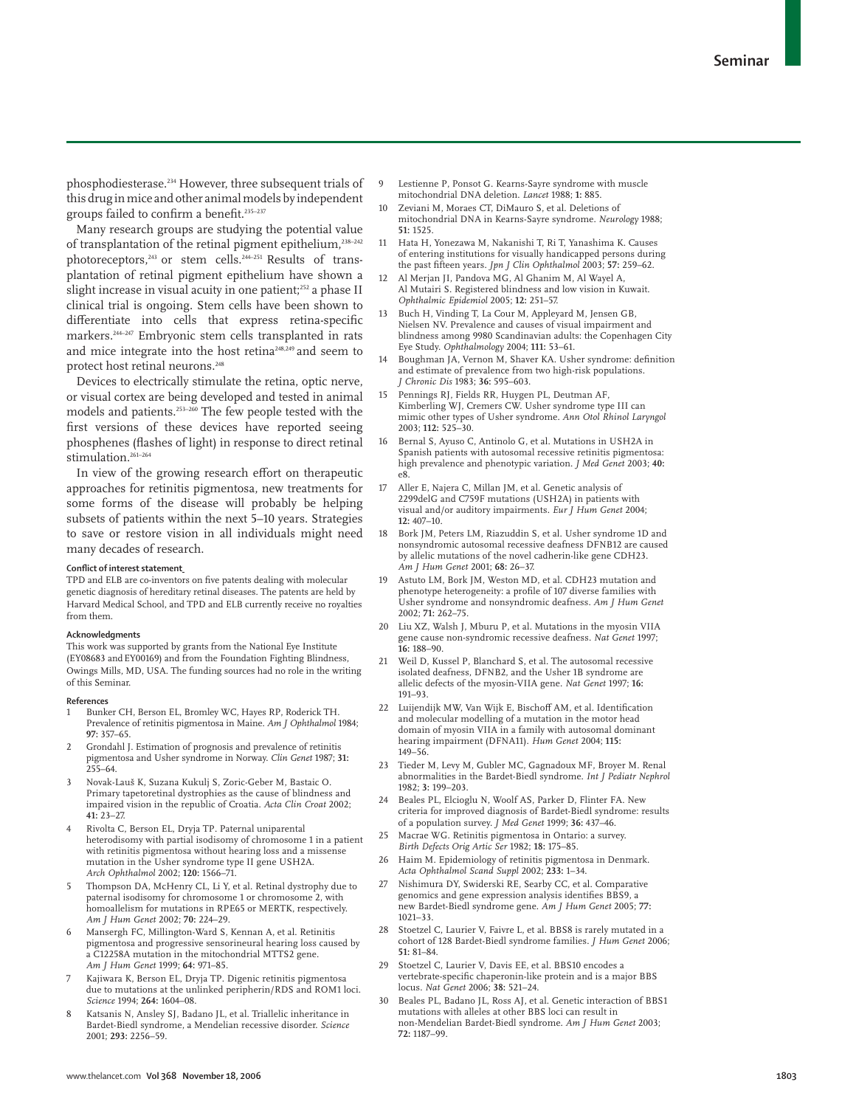phosphodiesterase.234 However, three subsequent trials of this drug in mice and other animal models by independent groups failed to confirm a benefit.<sup>235-237</sup>

Many research groups are studying the potential value of transplantation of the retinal pigment epithelium,<sup>238-242</sup> photoreceptors,<sup>243</sup> or stem cells.<sup>244-251</sup> Results of transplantation of retinal pigment epithelium have shown a slight increase in visual acuity in one patient;<sup>252</sup> a phase II clinical trial is ongoing. Stem cells have been shown to differentiate into cells that express retina-specific markers.<sup>244–247</sup> Embryonic stem cells transplanted in rats and mice integrate into the host retina<sup>248,249</sup> and seem to protect host retinal neurons.<sup>248</sup>

Devices to electrically stimulate the retina, optic nerve, or visual cortex are being developed and tested in animal models and patients.253–260 The few people tested with the first versions of these devices have reported seeing phosphenes (flashes of light) in response to direct retinal stimulation.<sup>261-264</sup>

In view of the growing research effort on therapeutic approaches for retinitis pigmentosa, new treatments for some forms of the disease will probably be helping subsets of patients within the next 5–10 years. Strategies to save or restore vision in all individuals might need many decades of research.

#### **Conflict of interest statement**

TPD and ELB are co-inventors on five patents dealing with molecular genetic diagnosis of hereditary retinal diseases. The patents are held by Harvard Medical School, and TPD and ELB currently receive no royalties from them.

#### **Acknowledgments**

This work was supported by grants from the National Eye Institute (EY08683 and EY00169) and from the Foundation Fighting Blindness, Owings Mills, MD, USA. The funding sources had no role in the writing of this Seminar.

#### **References**

- Bunker CH, Berson EL, Bromley WC, Hayes RP, Roderick TH. Prevalence of retinitis pigmentosa in Maine. *Am J Ophthalmol* 1984; **97:** 357–65.
- 2 Grondahl J. Estimation of prognosis and prevalence of retinitis pigmentosa and Usher syndrome in Norway. *Clin Genet* 1987; **31:** 255–64.
- 3 Novak-Lauš K, Suzana Kukulj S, Zoric-Geber M, Bastaic O. Primary tapetoretinal dystrophies as the cause of blindness and impaired vision in the republic of Croatia. *Acta Clin Croat* 2002; **41:** 23–27.
- 4 Rivolta C, Berson EL, Dryja TP. Paternal uniparental heterodisomy with partial isodisomy of chromosome 1 in a patient with retinitis pigmentosa without hearing loss and a missense mutation in the Usher syndrome type II gene USH2A. *Arch Ophthalmol* 2002; **120:** 1566–71.
- 5 Thompson DA, McHenry CL, Li Y, et al. Retinal dystrophy due to paternal isodisomy for chromosome 1 or chromosome 2, with homoallelism for mutations in RPE65 or MERTK, respectively. *Am J Hum Genet* 2002; **70:** 224–29.
- 6 Mansergh FC, Millington-Ward S, Kennan A, et al. Retinitis pigmentosa and progressive sensorineural hearing loss caused by a C12258A mutation in the mitochondrial MTTS2 gene. *Am J Hum Genet* 1999; **64:** 971–85.
- 7 Kajiwara K, Berson EL, Dryja TP. Digenic retinitis pigmentosa due to mutations at the unlinked peripherin/RDS and ROM1 loci. *Science* 1994; **264:** 1604–08.
- 8 Katsanis N, Ansley SJ, Badano JL, et al. Triallelic inheritance in Bardet-Biedl syndrome, a Mendelian recessive disorder. *Science* 2001; **293:** 2256–59.
- Lestienne P, Ponsot G. Kearns-Sayre syndrome with muscle mitochondrial DNA deletion. *Lancet* 1988; **1:** 885.
- 10 Zeviani M, Moraes CT, DiMauro S, et al. Deletions of mitochondrial DNA in Kearns-Sayre syndrome. *Neurology* 1988; **51:** 1525.
- 11 Hata H, Yonezawa M, Nakanishi T, Ri T, Yanashima K. Causes of entering institutions for visually handicapped persons during the past fifteen years. *Jpn J Clin Ophthalmol* 2003; **57:** 259-62.
- 12 Al Merjan JI, Pandova MG, Al Ghanim M, Al Wayel A, Al Mutairi S. Registered blindness and low vision in Kuwait. *Ophthalmic Epidemiol* 2005; **12:** 251–57.
- Buch H, Vinding T, La Cour M, Appleyard M, Jensen GB, Nielsen NV. Prevalence and causes of visual impairment and blindness among 9980 Scandinavian adults: the Copenhagen City Eye Study. *Ophthalmology* 2004; **111:** 53–61.
- 14 Boughman JA, Vernon M, Shaver KA. Usher syndrome: definition and estimate of prevalence from two high-risk populations. *J Chronic Dis* 1983; **36:** 595–603.
- 15 Pennings RJ, Fields RR, Huygen PL, Deutman AF, Kimberling WJ, Cremers CW. Usher syndrome type III can mimic other types of Usher syndrome. *Ann Otol Rhinol Laryngol* 2003; **112:** 525–30.
- 16 Bernal S, Ayuso C, Antinolo G, et al. Mutations in USH2A in Spanish patients with autosomal recessive retinitis pigmentosa: high prevalence and phenotypic variation. *J Med Genet* 2003; **40:** e8.
- 17 Aller E, Najera C, Millan JM, et al. Genetic analysis of 2299delG and C759F mutations (USH2A) in patients with visual and/or auditory impairments. *Eur J Hum Genet* 2004; **12:** 407–10.
- 18 Bork JM, Peters LM, Riazuddin S, et al. Usher syndrome 1D and nonsyndromic autosomal recessive deafness DFNB12 are caused by allelic mutations of the novel cadherin-like gene CDH23. *Am J Hum Genet* 2001; **68:** 26–37.
- Astuto LM, Bork JM, Weston MD, et al. CDH23 mutation and phenotype heterogeneity: a profile of 107 diverse families with Usher syndrome and nonsyndromic deafness. *Am J Hum Genet* 2002; **71:** 262–75.
- 20 Liu XZ, Walsh J, Mburu P, et al. Mutations in the myosin VIIA gene cause non-syndromic recessive deafness. *Nat Genet* 1997; **16:** 188–90.
- 21 Weil D, Kussel P, Blanchard S, et al. The autosomal recessive isolated deafness, DFNB2, and the Usher 1B syndrome are allelic defects of the myosin-VIIA gene. *Nat Genet* 1997; **16:** 191–93.
- 22 Luijendijk MW, Van Wijk E, Bischoff AM, et al. Identification and molecular modelling of a mutation in the motor head domain of myosin VIIA in a family with autosomal dominant hearing impairment (DFNA11). *Hum Genet* 2004; **115:** 149–56.
- 23 Tieder M, Levy M, Gubler MC, Gagnadoux MF, Broyer M. Renal abnormalities in the Bardet-Biedl syndrome. *Int J Pediatr Nephrol* 1982; **3:** 199–203.
- 24 Beales PL, Elcioglu N, Woolf AS, Parker D, Flinter FA. New criteria for improved diagnosis of Bardet-Biedl syndrome: results of a population survey. *J Med Genet* 1999; **36:** 437–46.
- 25 Macrae WG. Retinitis pigmentosa in Ontario: a survey. *Birth Defects Orig Artic Ser* 1982; **18:** 175–85.
- Haim M. Epidemiology of retinitis pigmentosa in Denmark. *Acta Ophthalmol Scand Suppl* 2002; **233:** 1–34.
- 27 Nishimura DY, Swiderski RE, Searby CC, et al. Comparative genomics and gene expression analysis identifies BBS9, a new Bardet-Biedl syndrome gene. *Am J Hum Genet* 2005; **77:** 1021–33.
- 28 Stoetzel C, Laurier V, Faivre L, et al. BBS8 is rarely mutated in a cohort of 128 Bardet-Biedl syndrome families. *J Hum Genet* 2006; **51:** 81–84.
- 29 Stoetzel C, Laurier V, Davis EE, et al. BBS10 encodes a vertebrate-specific chaperonin-like protein and is a major BBS locus. *Nat Genet* 2006; **38:** 521–24.
- 30 Beales PL, Badano JL, Ross AJ, et al. Genetic interaction of BBS1 mutations with alleles at other BBS loci can result in non-Mendelian Bardet-Biedl syndrome. *Am J Hum Genet* 2003; **72:** 1187–99.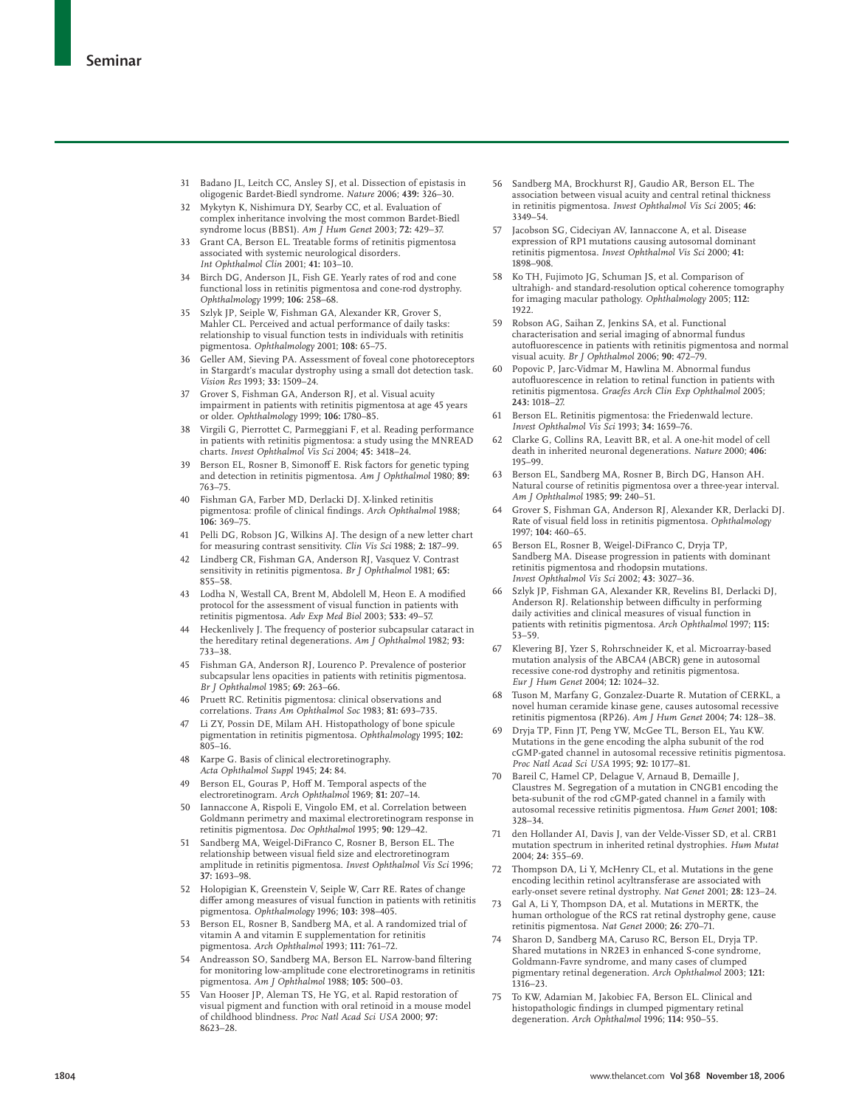- 31 Badano JL, Leitch CC, Ansley SJ, et al. Dissection of epistasis in oligogenic Bardet-Biedl syndrome. *Nature* 2006; **439:** 326–30.
- 32 Mykytyn K, Nishimura DY, Searby CC, et al. Evaluation of complex inheritance involving the most common Bardet-Biedl syndrome locus (BBS1). *Am J Hum Genet* 2003; **72:** 429–37.
- 33 Grant CA, Berson EL. Treatable forms of retinitis pigmentosa associated with systemic neurological disorders. *Int Ophthalmol Clin* 2001; **41:** 103–10.
- Birch DG, Anderson JL, Fish GE. Yearly rates of rod and cone functional loss in retinitis pigmentosa and cone-rod dystrophy. *Ophthalmology* 1999; **106:** 258–68.
- Szlyk JP, Seiple W, Fishman GA, Alexander KR, Grover S, Mahler CL. Perceived and actual performance of daily tasks: relationship to visual function tests in individuals with retinitis pigmentosa. *Ophthalmology* 2001; **108:** 65–75.
- 36 Geller AM, Sieving PA. Assessment of foveal cone photoreceptors in Stargardt's macular dystrophy using a small dot detection task. *Vision Res* 1993; **33:** 1509–24.
- 37 Grover S, Fishman GA, Anderson RJ, et al. Visual acuity impairment in patients with retinitis pigmentosa at age 45 years or older. *Ophthalmology* 1999; **106:** 1780–85.
- 38 Virgili G, Pierrottet C, Parmeggiani F, et al. Reading performance in patients with retinitis pigmentosa: a study using the MNREAD charts. *Invest Ophthalmol Vis Sci* 2004; **45:** 3418–24.
- Berson EL, Rosner B, Simonoff E. Risk factors for genetic typing and detection in retinitis pigmentosa. *Am J Ophthalmol* 1980; **89:** 763–75.
- 40 Fishman GA, Farber MD, Derlacki DJ. X-linked retinitis pigmentosa: profile of clinical findings. *Arch Ophthalmol* 1988;<br>**106:** 369–75.
- 41 Pelli DG, Robson JG, Wilkins AJ. The design of a new letter chart for measuring contrast sensitivity. *Clin Vis Sci* 1988; **2:** 187–99.
- 42 Lindberg CR, Fishman GA, Anderson RJ, Vasquez V. Contrast sensitivity in retinitis pigmentosa. *Br J Ophthalmol* 1981; **65:** 855–58.
- 43 Lodha N, Westall CA, Brent M, Abdolell M, Heon E. A modified protocol for the assessment of visual function in patients with retinitis pigmentosa. *Adv Exp Med Biol* 2003; **533:** 49–57.
- Heckenlively J. The frequency of posterior subcapsular cataract in the hereditary retinal degenerations. *Am J Ophthalmol* 1982; **93:** 733–38.
- 45 Fishman GA, Anderson RJ, Lourenco P. Prevalence of posterior subcapsular lens opacities in patients with retinitis pigmentosa. *Br J Ophthalmol* 1985; **69:** 263–66.
- Pruett RC. Retinitis pigmentosa: clinical observations and correlations. *Trans Am Ophthalmol Soc* 1983; **81:** 693–735.
- 47 Li ZY, Possin DE, Milam AH. Histopathology of bone spicule pigmentation in retinitis pigmentosa. *Ophthalmology* 1995; **102:** 805–16.
- 48 Karpe G. Basis of clinical electroretinography. *Acta Ophthalmol Suppl* 1945; **24:** 84.
- 49 Berson EL, Gouras P, Hoff M. Temporal aspects of the electroretinogram. *Arch Ophthalmol* 1969; **81:** 207–14.
- 50 Iannaccone A, Rispoli E, Vingolo EM, et al. Correlation between Goldmann perimetry and maximal electroretinogram response in retinitis pigmentosa. *Doc Ophthalmol* 1995; **90:** 129–42.
- 51 Sandberg MA, Weigel-DiFranco C, Rosner B, Berson EL. The relationship between visual field size and electroretinogram amplitude in retinitis pigmentosa. *Invest Ophthalmol Vis Sci* 1996; **37:** 1693–98.
- 52 Holopigian K, Greenstein V, Seiple W, Carr RE. Rates of change differ among measures of visual function in patients with retinitis pigmentosa. *Ophthalmology* 1996; **103:** 398–405.
- 53 Berson EL, Rosner B, Sandberg MA, et al. A randomized trial of vitamin A and vitamin E supplementation for retinitis pigmentosa. *Arch Ophthalmol* 1993; **111:** 761–72.
- Andreasson SO, Sandberg MA, Berson EL. Narrow-band filtering for monitoring low-amplitude cone electroretinograms in retinitis pigmentosa. *Am J Ophthalmol* 1988; **105:** 500–03.
- Van Hooser JP, Aleman TS, He YG, et al. Rapid restoration of visual pigment and function with oral retinoid in a mouse model of childhood blindness. *Proc Natl Acad Sci USA* 2000; **97:** 8623–28.
- 56 Sandberg MA, Brockhurst RJ, Gaudio AR, Berson EL. The association between visual acuity and central retinal thickness in retinitis pigmentosa. *Invest Ophthalmol Vis Sci* 2005; **46:** 3349–54.
- 57 Jacobson SG, Cideciyan AV, Iannaccone A, et al. Disease expression of RP1 mutations causing autosomal dominant retinitis pigmentosa. *Invest Ophthalmol Vis Sci* 2000; **41:** 1898–908.
- Ko TH, Fujimoto JG, Schuman JS, et al. Comparison of ultrahigh- and standard-resolution optical coherence tomography for imaging macular pathology. *Ophthalmology* 2005; **112:** 1922.
- 59 Robson AG, Saihan Z, Jenkins SA, et al. Functional characterisation and serial imaging of abnormal fundus autofluorescence in patients with retinitis pigmentosa and normal visual acuity. *Br J Ophthalmol* 2006; **90:** 472–79.
- Popovic P, Jarc-Vidmar M, Hawlina M. Abnormal fundus autofluorescence in relation to retinal function in patients with retinitis pigmentosa. *Graefes Arch Clin Exp Ophthalmol* 2005; **243:** 1018–27.
- 61 Berson EL. Retinitis pigmentosa: the Friedenwald lecture. *Invest Ophthalmol Vis Sci* 1993; **34:** 1659–76.
- 62 Clarke G, Collins RA, Leavitt BR, et al. A one-hit model of cell death in inherited neuronal degenerations. *Nature* 2000; **406:** 195–99.
- 63 Berson EL, Sandberg MA, Rosner B, Birch DG, Hanson AH. Natural course of retinitis pigmentosa over a three-year interval. *Am J Ophthalmol* 1985; **99:** 240–51.
- 64 Grover S, Fishman GA, Anderson RJ, Alexander KR, Derlacki DJ. Rate of visual field loss in retinitis pigmentosa. Ophthalmology 1997; **104:** 460–65.
- 65 Berson EL, Rosner B, Weigel-DiFranco C, Dryja TP, Sandberg MA. Disease progression in patients with dominant retinitis pigmentosa and rhodopsin mutations. *Invest Ophthalmol Vis Sci* 2002; **43:** 3027–36.
- 66 Szlyk JP, Fishman GA, Alexander KR, Revelins BI, Derlacki DJ, Anderson RJ. Relationship between difficulty in performing daily activities and clinical measures of visual function in patients with retinitis pigmentosa. *Arch Ophthalmol* 1997; **115:** 53–59.
- Klevering BJ, Yzer S, Rohrschneider K, et al. Microarray-based mutation analysis of the ABCA4 (ABCR) gene in autosomal recessive cone-rod dystrophy and retinitis pigmentosa. *Eur J Hum Genet* 2004; **12:** 1024–32.
- 68 Tuson M, Marfany G, Gonzalez-Duarte R. Mutation of CERKL, a novel human ceramide kinase gene, causes autosomal recessive retinitis pigmentosa (RP26). *Am J Hum Genet* 2004; **74:** 128–38.
- 69 Dryja TP, Finn JT, Peng YW, McGee TL, Berson EL, Yau KW. Mutations in the gene encoding the alpha subunit of the rod cGMP-gated channel in autosomal recessive retinitis pigmentosa. *Proc Natl Acad Sci USA* 1995; **92:** 10 177–81.
- 70 Bareil C, Hamel CP, Delague V, Arnaud B, Demaille J, Claustres M. Segregation of a mutation in CNGB1 encoding the beta-subunit of the rod cGMP-gated channel in a family with autosomal recessive retinitis pigmentosa. *Hum Genet* 2001; **108:** 328–34.
- 71 den Hollander AI, Davis J, van der Velde-Visser SD, et al. CRB1 mutation spectrum in inherited retinal dystrophies. *Hum Mutat* 2004; **24:** 355–69.
- 72 Thompson DA, Li Y, McHenry CL, et al. Mutations in the gene encoding lecithin retinol acyltransferase are associated with early-onset severe retinal dystrophy. *Nat Genet* 2001; **28:** 123–24.
- 73 Gal A, Li Y, Thompson DA, et al. Mutations in MERTK, the human orthologue of the RCS rat retinal dystrophy gene, cause retinitis pigmentosa. *Nat Genet* 2000; **26:** 270–71.
- Sharon D, Sandberg MA, Caruso RC, Berson EL, Dryja TP. Shared mutations in NR2E3 in enhanced S-cone syndrome, Goldmann-Favre syndrome, and many cases of clumped pigmentary retinal degeneration. *Arch Ophthalmol* 2003; **121:** 1316–23.
- 75 To KW, Adamian M, Jakobiec FA, Berson EL. Clinical and histopathologic findings in clumped pigmentary retinal degeneration. *Arch Ophthalmol* 1996; **114:** 950–55.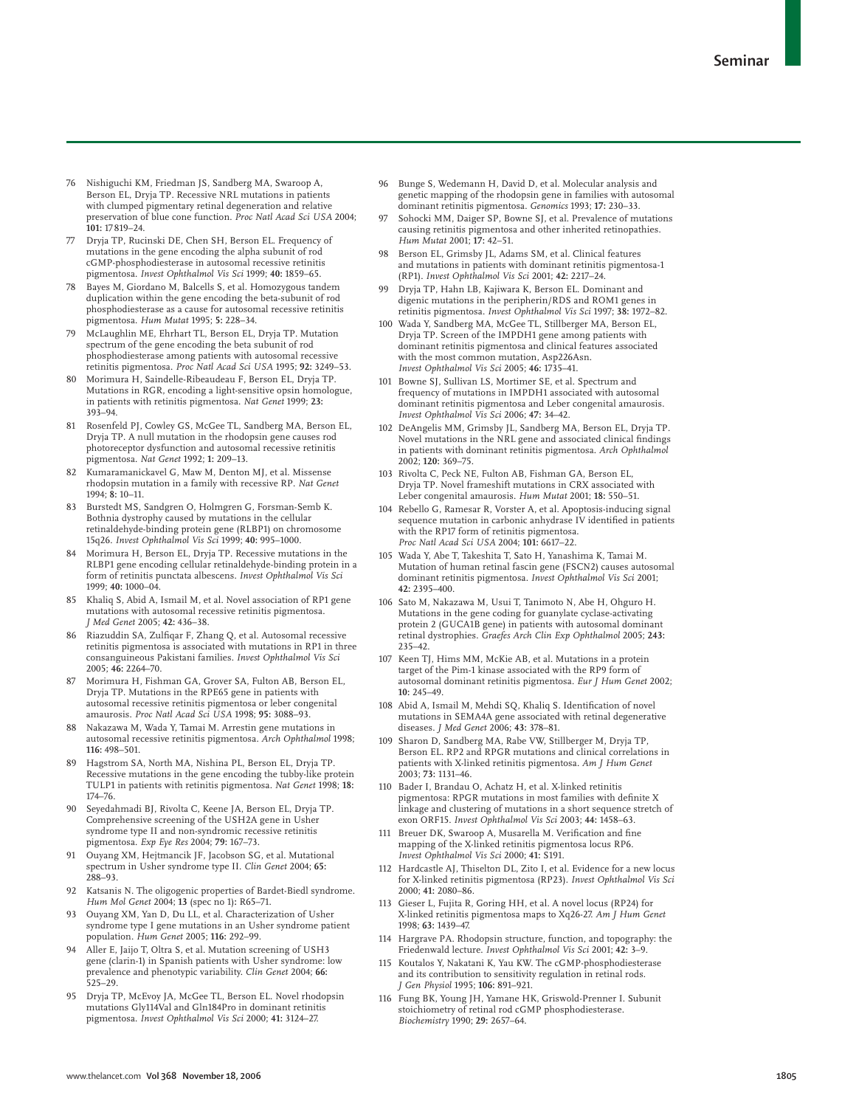- 76 Nishiguchi KM, Friedman JS, Sandberg MA, Swaroop A, Berson EL, Dryja TP. Recessive NRL mutations in patients with clumped pigmentary retinal degeneration and relative preservation of blue cone function. *Proc Natl Acad Sci USA* 2004; **101:** 17 819–24.
- 77 Dryja TP, Rucinski DE, Chen SH, Berson EL. Frequency of mutations in the gene encoding the alpha subunit of rod cGMP-phosphodiesterase in autosomal recessive retinitis pigmentosa. *Invest Ophthalmol Vis Sci* 1999; **40:** 1859–65.
- Bayes M, Giordano M, Balcells S, et al. Homozygous tandem duplication within the gene encoding the beta-subunit of rod phosphodiesterase as a cause for autosomal recessive retinitis pigmentosa. *Hum Mutat* 1995; **5:** 228–34.
- 79 McLaughlin ME, Ehrhart TL, Berson EL, Dryja TP. Mutation spectrum of the gene encoding the beta subunit of rod phosphodiesterase among patients with autosomal recessive retinitis pigmentosa. *Proc Natl Acad Sci USA* 1995; **92:** 3249–53.
- 80 Morimura H, Saindelle-Ribeaudeau F, Berson EL, Dryja TP. Mutations in RGR, encoding a light-sensitive opsin homologue, in patients with retinitis pigmentosa. *Nat Genet* 1999; **23:** 393–94.
- 81 Rosenfeld PJ, Cowley GS, McGee TL, Sandberg MA, Berson EL, Dryja TP. A null mutation in the rhodopsin gene causes rod photoreceptor dysfunction and autosomal recessive retinitis pigmentosa. *Nat Genet* 1992; **1:** 209–13.
- 82 Kumaramanickavel G, Maw M, Denton MJ, et al. Missense rhodopsin mutation in a family with recessive RP. *Nat Genet* 1994; **8:** 10–11.
- 83 Burstedt MS, Sandgren O, Holmgren G, Forsman-Semb K. Bothnia dystrophy caused by mutations in the cellular retinaldehyde-binding protein gene (RLBP1) on chromosome 15q26. *Invest Ophthalmol Vis Sci* 1999; **40:** 995–1000.
- 84 Morimura H, Berson EL, Dryja TP. Recessive mutations in the RLBP1 gene encoding cellular retinaldehyde-binding protein in a form of retinitis punctata albescens. *Invest Ophthalmol Vis Sci* 1999; **40:** 1000–04.
- 85 Khaliq S, Abid A, Ismail M, et al. Novel association of RP1 gene mutations with autosomal recessive retinitis pigmentosa. *J Med Genet* 2005; **42:** 436–38.
- 86 Riazuddin SA, Zulfiqar F, Zhang Q, et al. Autosomal recessive retinitis pigmentosa is associated with mutations in RP1 in three consanguineous Pakistani families. *Invest Ophthalmol Vis Sci* 2005; **46:** 2264–70.
- 87 Morimura H, Fishman GA, Grover SA, Fulton AB, Berson EL, Dryja TP. Mutations in the RPE65 gene in patients with autosomal recessive retinitis pigmentosa or leber congenital amaurosis. *Proc Natl Acad Sci USA* 1998; **95:** 3088–93.
- 88 Nakazawa M, Wada Y, Tamai M. Arrestin gene mutations in autosomal recessive retinitis pigmentosa. *Arch Ophthalmol* 1998; **116:** 498–501.
- Hagstrom SA, North MA, Nishina PL, Berson EL, Dryja TP. Recessive mutations in the gene encoding the tubby-like protein TULP1 in patients with retinitis pigmentosa. *Nat Genet* 1998; **18:** 174–76.
- 90 Seyedahmadi BJ, Rivolta C, Keene JA, Berson EL, Dryja TP. Comprehensive screening of the USH2A gene in Usher syndrome type II and non-syndromic recessive retinitis pigmentosa. *Exp Eye Res* 2004; **79:** 167–73.
- 91 Ouyang XM, Hejtmancik JF, Jacobson SG, et al. Mutational spectrum in Usher syndrome type II. *Clin Genet* 2004; **65:** 288–93.
- 92 Katsanis N. The oligogenic properties of Bardet-Biedl syndrome. *Hum Mol Genet* 2004; **13** (spec no 1)**:** R65–71.
- 93 Ouyang XM, Yan D, Du LL, et al. Characterization of Usher syndrome type I gene mutations in an Usher syndrome patient population. *Hum Genet* 2005; **116:** 292–99.
- 94 Aller E, Jaijo T, Oltra S, et al. Mutation screening of USH3 gene (clarin-1) in Spanish patients with Usher syndrome: low prevalence and phenotypic variability. *Clin Genet* 2004; **66:** 525–29.
- Dryja TP, McEvoy JA, McGee TL, Berson EL. Novel rhodopsin mutations Gly114Val and Gln184Pro in dominant retinitis pigmentosa. *Invest Ophthalmol Vis Sci* 2000; **41:** 3124–27.
- 96 Bunge S, Wedemann H, David D, et al. Molecular analysis and genetic mapping of the rhodopsin gene in families with autosomal dominant retinitis pigmentosa. *Genomics* 1993; **17:** 230–33.
- Sohocki MM, Daiger SP, Bowne SJ, et al. Prevalence of mutations causing retinitis pigmentosa and other inherited retinopathies. *Hum Mutat* 2001; **17:** 42–51.
- 98 Berson EL, Grimsby JL, Adams SM, et al. Clinical features and mutations in patients with dominant retinitis pigmentosa-1 (RP1). *Invest Ophthalmol Vis Sci* 2001; **42:** 2217–24.
- 99 Dryja TP, Hahn LB, Kajiwara K, Berson EL. Dominant and digenic mutations in the peripherin/RDS and ROM1 genes in retinitis pigmentosa. *Invest Ophthalmol Vis Sci* 1997; **38:** 1972–82.
- 100 Wada Y, Sandberg MA, McGee TL, Stillberger MA, Berson EL, Dryja TP. Screen of the IMPDH1 gene among patients with dominant retinitis pigmentosa and clinical features associated with the most common mutation, Asp226Asn. *Invest Ophthalmol Vis Sci* 2005; **46:** 1735–41.
- 101 Bowne SJ, Sullivan LS, Mortimer SE, et al. Spectrum and frequency of mutations in IMPDH1 associated with autosomal dominant retinitis pigmentosa and Leber congenital amaurosis. *Invest Ophthalmol Vis Sci* 2006; **47:** 34–42.
- 102 DeAngelis MM, Grimsby JL, Sandberg MA, Berson EL, Dryja TP. Novel mutations in the NRL gene and associated clinical findings in patients with dominant retinitis pigmentosa. *Arch Ophthalmol* 2002; **120:** 369–75.
- 103 Rivolta C, Peck NE, Fulton AB, Fishman GA, Berson EL, Dryja TP. Novel frameshift mutations in CRX associated with Leber congenital amaurosis. *Hum Mutat* 2001; **18:** 550–51.
- 104 Rebello G, Ramesar R, Vorster A, et al. Apoptosis-inducing signal sequence mutation in carbonic anhydrase IV identified in patients with the RP17 form of retinitis pigmentosa. *Proc Natl Acad Sci USA* 2004; **101:** 6617–22.
- 105 Wada Y, Abe T, Takeshita T, Sato H, Yanashima K, Tamai M. Mutation of human retinal fascin gene (FSCN2) causes autosomal dominant retinitis pigmentosa. *Invest Ophthalmol Vis Sci* 2001; **42:** 2395–400.
- 106 Sato M, Nakazawa M, Usui T, Tanimoto N, Abe H, Ohguro H. Mutations in the gene coding for guanylate cyclase-activating protein 2 (GUCA1B gene) in patients with autosomal dominant retinal dystrophies. *Graefes Arch Clin Exp Ophthalmol* 2005; **243:** 235–42.
- 107 Keen TJ, Hims MM, McKie AB, et al. Mutations in a protein target of the Pim-1 kinase associated with the RP9 form of autosomal dominant retinitis pigmentosa. *Eur J Hum Genet* 2002; **10:** 245–49.
- 108 Abid A, Ismail M, Mehdi SQ, Khaliq S. Identification of novel mutations in SEMA4A gene associated with retinal degenerative diseases. *J Med Genet* 2006; **43:** 378–81.
- 109 Sharon D, Sandberg MA, Rabe VW, Stillberger M, Dryja TP, Berson EL. RP2 and RPGR mutations and clinical correlations in patients with X-linked retinitis pigmentosa. *Am J Hum Genet* 2003; **73:** 1131–46.
- 110 Bader I, Brandau O, Achatz H, et al. X-linked retinitis pigmentosa: RPGR mutations in most families with definite X linkage and clustering of mutations in a short sequence stretch of exon ORF15. *Invest Ophthalmol Vis Sci* 2003; **44:** 1458–63.
- 111 Breuer DK, Swaroop A, Musarella M. Verification and fine mapping of the X-linked retinitis pigmentosa locus RP6. *Invest Ophthalmol Vis Sci* 2000; **41:** S191.
- 112 Hardcastle AJ, Thiselton DL, Zito I, et al. Evidence for a new locus for X-linked retinitis pigmentosa (RP23). *Invest Ophthalmol Vis Sci* 2000; **41:** 2080–86.
- Gieser L, Fujita R, Goring HH, et al. A novel locus (RP24) for X-linked retinitis pigmentosa maps to Xq26-27. *Am J Hum Genet* 1998; **63:** 1439–47.
- 114 Hargrave PA. Rhodopsin structure, function, and topography: the Friedenwald lecture. *Invest Ophthalmol Vis Sci* 2001; **42:** 3–9.
- 115 Koutalos Y, Nakatani K, Yau KW. The cGMP-phosphodiesterase and its contribution to sensitivity regulation in retinal rods. *J Gen Physiol* 1995; **106:** 891–921.
- 116 Fung BK, Young JH, Yamane HK, Griswold-Prenner I. Subunit stoichiometry of retinal rod cGMP phosphodiesterase. *Biochemistry* 1990; **29:** 2657–64.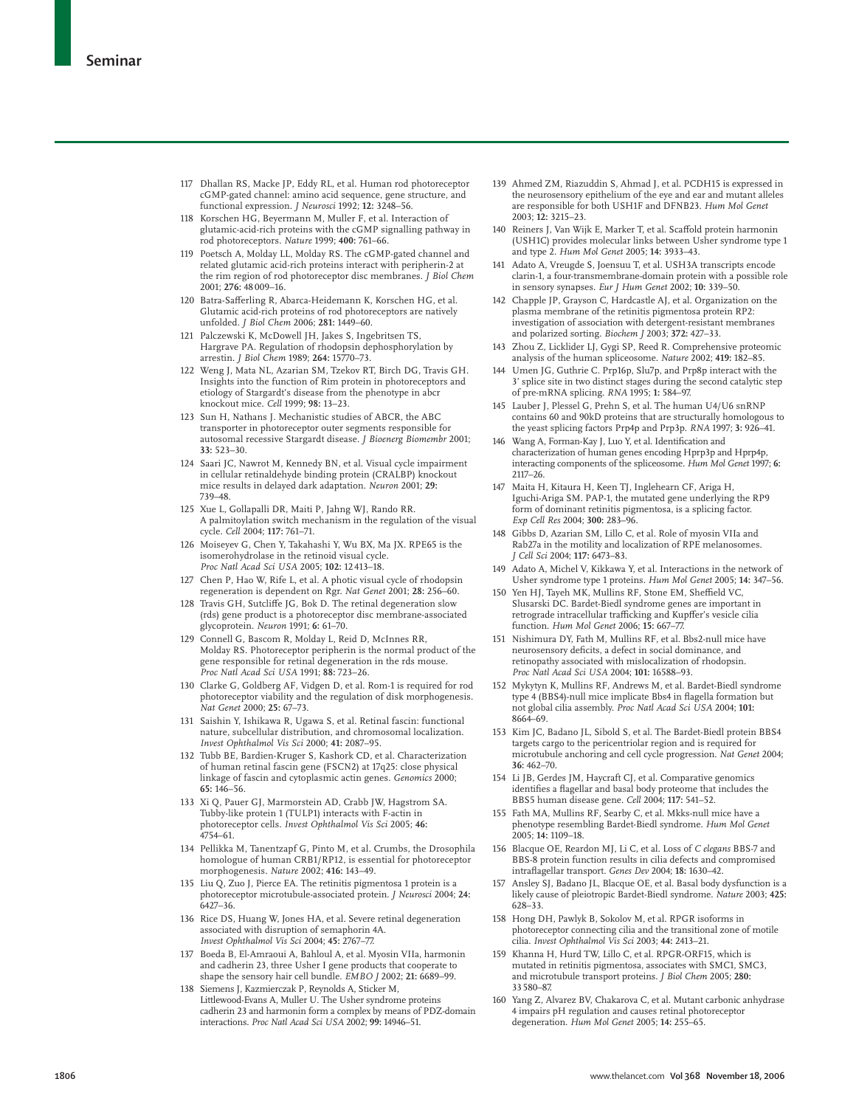- 117 Dhallan RS, Macke JP, Eddy RL, et al. Human rod photoreceptor cGMP-gated channel: amino acid sequence, gene structure, and functional expression. *J Neurosci* 1992; **12:** 3248–56.
- 118 Korschen HG, Beyermann M, Muller F, et al. Interaction of glutamic-acid-rich proteins with the cGMP signalling pathway in rod photoreceptors. *Nature* 1999; **400:** 761–66.
- 119 Poetsch A, Molday LL, Molday RS. The cGMP-gated channel and related glutamic acid-rich proteins interact with peripherin-2 at the rim region of rod photoreceptor disc membranes. *J Biol Chem* 2001; **276:** 48 009–16.
- 120 Batra-Safferling R, Abarca-Heidemann K, Korschen HG, et al. Glutamic acid-rich proteins of rod photoreceptors are natively unfolded. *J Biol Chem* 2006; **281:** 1449–60.
- 121 Palczewski K, McDowell JH, Jakes S, Ingebritsen TS, Hargrave PA. Regulation of rhodopsin dephosphorylation by arrestin. *J Biol Chem* 1989; **264:** 15770–73.
- 122 Weng J, Mata NL, Azarian SM, Tzekov RT, Birch DG, Travis GH. Insights into the function of Rim protein in photoreceptors and etiology of Stargardt's disease from the phenotype in abcr knockout mice. *Cell* 1999; **98:** 13–23.
- 123 Sun H, Nathans J. Mechanistic studies of ABCR, the ABC transporter in photoreceptor outer segments responsible for autosomal recessive Stargardt disease. *J Bioenerg Biomembr* 2001; **33:** 523–30.
- 124 Saari JC, Nawrot M, Kennedy BN, et al. Visual cycle impairment in cellular retinaldehyde binding protein (CRALBP) knockout mice results in delayed dark adaptation. *Neuron* 2001; **29:** 739–48.
- 125 Xue L, Gollapalli DR, Maiti P, Jahng WJ, Rando RR. A palmitoylation switch mechanism in the regulation of the visual cycle. *Cell* 2004; **117:** 761–71.
- 126 Moiseyev G, Chen Y, Takahashi Y, Wu BX, Ma JX. RPE65 is the isomerohydrolase in the retinoid visual cycle. *Proc Natl Acad Sci USA* 2005; **102:** 12 413–18.
- 127 Chen P, Hao W, Rife L, et al. A photic visual cycle of rhodopsin regeneration is dependent on Rgr. *Nat Genet* 2001; **28:** 256–60.
- 128 Travis GH, Sutcliffe JG, Bok D. The retinal degeneration slow (rds) gene product is a photoreceptor disc membrane-associated glycoprotein. *Neuron* 1991; **6:** 61–70.
- 129 Connell G, Bascom R, Molday L, Reid D, McInnes RR, Molday RS. Photoreceptor peripherin is the normal product of the gene responsible for retinal degeneration in the rds mouse. *Proc Natl Acad Sci USA* 1991; **88:** 723–26.
- 130 Clarke G, Goldberg AF, Vidgen D, et al. Rom-1 is required for rod photoreceptor viability and the regulation of disk morphogenesis. *Nat Genet* 2000; **25:** 67–73.
- 131 Saishin Y, Ishikawa R, Ugawa S, et al. Retinal fascin: functional nature, subcellular distribution, and chromosomal localization. *Invest Ophthalmol Vis Sci* 2000; **41:** 2087–95.
- 132 Tubb BE, Bardien-Kruger S, Kashork CD, et al. Characterization of human retinal fascin gene (FSCN2) at 17q25: close physical linkage of fascin and cytoplasmic actin genes. *Genomics* 2000; **65:** 146–56.
- 133 Xi Q, Pauer GJ, Marmorstein AD, Crabb JW, Hagstrom SA. Tubby-like protein 1 (TULP1) interacts with F-actin in photoreceptor cells. *Invest Ophthalmol Vis Sci* 2005; **46:** 4754–61.
- 134 Pellikka M, Tanentzapf G, Pinto M, et al. Crumbs, the Drosophila homologue of human CRB1/RP12, is essential for photoreceptor morphogenesis. *Nature* 2002; **416:** 143–49.
- 135 Liu Q, Zuo J, Pierce EA. The retinitis pigmentosa 1 protein is a photoreceptor microtubule-associated protein. *J Neurosci* 2004; **24:** 6427–36.
- 136 Rice DS, Huang W, Jones HA, et al. Severe retinal degeneration associated with disruption of semaphorin 4A. *Invest Ophthalmol Vis Sci* 2004; **45:** 2767–77.
- 137 Boeda B, El-Amraoui A, Bahloul A, et al. Myosin VIIa, harmonin and cadherin 23, three Usher I gene products that cooperate to shape the sensory hair cell bundle. *EMBO J* 2002; **21:** 6689–99.
- 138 Siemens J, Kazmierczak P, Reynolds A, Sticker M, Littlewood-Evans A, Muller U. The Usher syndrome proteins cadherin 23 and harmonin form a complex by means of PDZ-domain interactions. *Proc Natl Acad Sci USA* 2002; **99:** 14946–51.
- 139 Ahmed ZM, Riazuddin S, Ahmad J, et al. PCDH15 is expressed in the neurosensory epithelium of the eye and ear and mutant alleles are responsible for both USH1F and DFNB23. *Hum Mol Genet* 2003; **12:** 3215–23.
- 140 Reiners J, Van Wijk E, Marker T, et al. Scaffold protein harmonin (USH1C) provides molecular links between Usher syndrome type 1 and type 2. *Hum Mol Genet* 2005; **14:** 3933–43.
- 141 Adato A, Vreugde S, Joensuu T, et al. USH3A transcripts encode clarin-1, a four-transmembrane-domain protein with a possible role in sensory synapses. *Eur J Hum Genet* 2002; **10:** 339–50.
- 142 Chapple JP, Grayson C, Hardcastle AJ, et al. Organization on the plasma membrane of the retinitis pigmentosa protein RP2: investigation of association with detergent-resistant membranes and polarized sorting. *Biochem J* 2003; **372:** 427–33.
- 143 Zhou Z, Licklider LJ, Gygi SP, Reed R. Comprehensive proteomic analysis of the human spliceosome. *Nature* 2002; **419:** 182–85.
- 144 Umen JG, Guthrie C. Prp16p, Slu7p, and Prp8p interact with the 3' splice site in two distinct stages during the second catalytic step of pre-mRNA splicing. *RNA* 1995; **1:** 584–97.
- 145 Lauber J, Plessel G, Prehn S, et al. The human U4/U6 snRNP contains 60 and 90kD proteins that are structurally homologous to the yeast splicing factors Prp4p and Prp3p. *RNA* 1997; **3:** 926–41.
- 146 Wang A, Forman-Kay J, Luo Y, et al. Identification and characterization of human genes encoding Hprp3p and Hprp4p, interacting components of the spliceosome. *Hum Mol Genet* 1997; **6:** 2117–26.
- 147 Maita H, Kitaura H, Keen TJ, Inglehearn CF, Ariga H, Iguchi-Ariga SM. PAP-1, the mutated gene underlying the RP9 form of dominant retinitis pigmentosa, is a splicing factor. *Exp Cell Res* 2004; **300:** 283–96.
- 148 Gibbs D, Azarian SM, Lillo C, et al. Role of myosin VIIa and Rab27a in the motility and localization of RPE melanosomes. *J Cell Sci* 2004; **117:** 6473–83.
- 149 Adato A, Michel V, Kikkawa Y, et al. Interactions in the network of Usher syndrome type 1 proteins. *Hum Mol Genet* 2005; **14:** 347–56.
- 150 Yen HJ, Tayeh MK, Mullins RF, Stone EM, Sheffield VC, Slusarski DC. Bardet-Biedl syndrome genes are important in retrograde intracellular trafficking and Kupffer's vesicle cilia function. *Hum Mol Genet* 2006; **15:** 667–77.
- 151 Nishimura DY, Fath M, Mullins RF, et al. Bbs2-null mice have neurosensory deficits, a defect in social dominance, and<br>retinopathy associated with mislocalization of rhodopsin. *Proc Natl Acad Sci USA* 2004; **101:** 16588–93.
- 152 Mykytyn K, Mullins RF, Andrews M, et al. Bardet-Biedl syndrome type 4 (BBS4)-null mice implicate Bbs4 in flagella formation but not global cilia assembly. *Proc Natl Acad Sci USA* 2004; **101:** 8664–69.
- 153 Kim JC, Badano JL, Sibold S, et al. The Bardet-Biedl protein BBS4 targets cargo to the pericentriolar region and is required for microtubule anchoring and cell cycle progression. *Nat Genet* 2004; **36:** 462–70.
- 154 Li JB, Gerdes JM, Haycraft CJ, et al. Comparative genomics identifies a flagellar and basal body proteome that includes the BBS5 human disease gene. *Cell* 2004; **117:** 541–52.
- 155 Fath MA, Mullins RF, Searby C, et al. Mkks-null mice have a phenotype resembling Bardet-Biedl syndrome. *Hum Mol Genet* 2005; **14:** 1109–18.
- 156 Blacque OE, Reardon MJ, Li C, et al. Loss of *C elegans* BBS-7 and BBS-8 protein function results in cilia defects and compromised intrafl agellar transport. *Genes Dev* 2004; **18:** 1630–42.
- 157 Ansley SJ, Badano JL, Blacque OE, et al. Basal body dysfunction is a likely cause of pleiotropic Bardet-Biedl syndrome. *Nature* 2003; **425:** 628–33.
- 158 Hong DH, Pawlyk B, Sokolov M, et al. RPGR isoforms in photoreceptor connecting cilia and the transitional zone of motile cilia. *Invest Ophthalmol Vis Sci* 2003; **44:** 2413–21.
- 159 Khanna H, Hurd TW, Lillo C, et al. RPGR-ORF15, which is mutated in retinitis pigmentosa, associates with SMC1, SMC3, and microtubule transport proteins. *J Biol Chem* 2005; **280:** 33 580–87.
- 160 Yang Z, Alvarez BV, Chakarova C, et al. Mutant carbonic anhydrase 4 impairs pH regulation and causes retinal photoreceptor degeneration. *Hum Mol Genet* 2005; **14:** 255–65.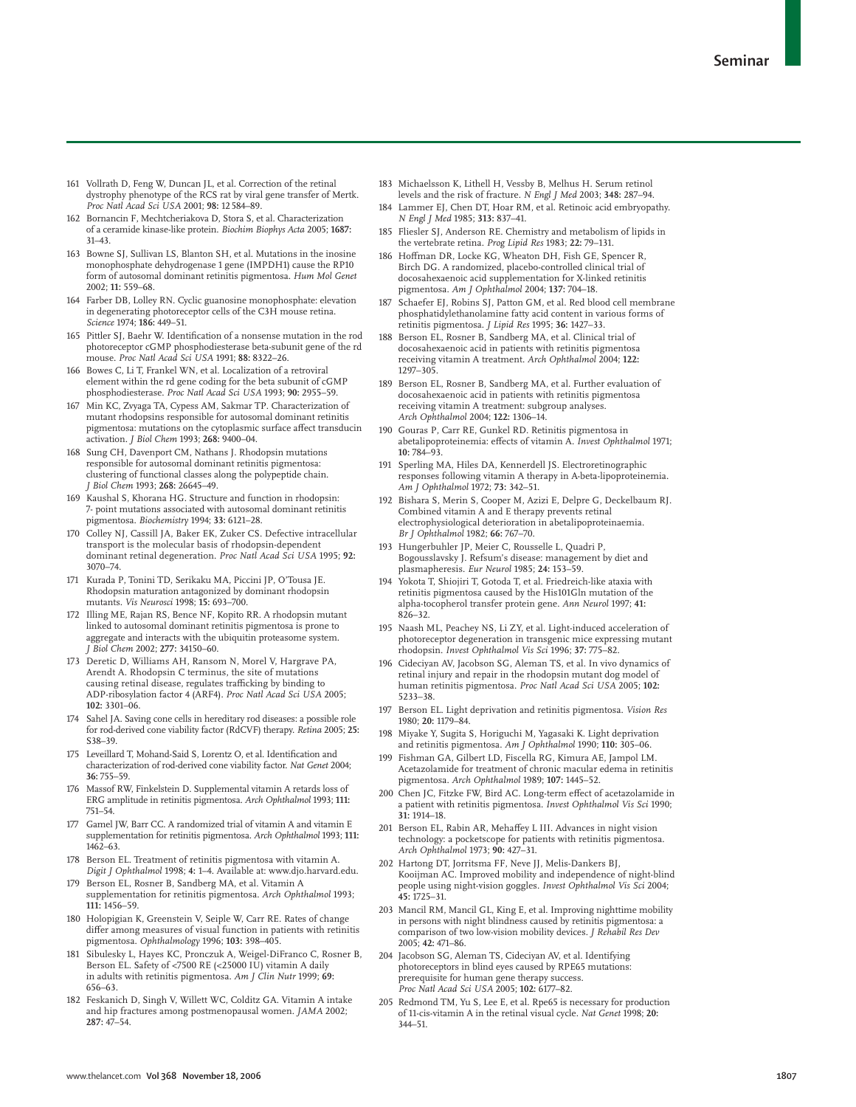- 161 Vollrath D, Feng W, Duncan JL, et al. Correction of the retinal dystrophy phenotype of the RCS rat by viral gene transfer of Mertk. *Proc Natl Acad Sci USA* 2001; **98:** 12 584–89.
- 162 Bornancin F, Mechtcheriakova D, Stora S, et al. Characterization of a ceramide kinase-like protein. *Biochim Biophys Acta* 2005; **1687:** 31–43.
- 163 Bowne SJ, Sullivan LS, Blanton SH, et al. Mutations in the inosine monophosphate dehydrogenase 1 gene (IMPDH1) cause the RP10 form of autosomal dominant retinitis pigmentosa. *Hum Mol Genet* 2002; **11:** 559–68.
- 164 Farber DB, Lolley RN. Cyclic guanosine monophosphate: elevation in degenerating photoreceptor cells of the C3H mouse retina. *Science* 1974; **186:** 449–51.
- 165 Pittler SJ, Baehr W. Identification of a nonsense mutation in the rod photoreceptor cGMP phosphodiesterase beta-subunit gene of the rd mouse. *Proc Natl Acad Sci USA* 1991; **88:** 8322–26.
- 166 Bowes C, Li T, Frankel WN, et al. Localization of a retroviral element within the rd gene coding for the beta subunit of cGMP phosphodiesterase. *Proc Natl Acad Sci USA* 1993; **90:** 2955–59.
- 167 Min KC, Zvyaga TA, Cypess AM, Sakmar TP. Characterization of mutant rhodopsins responsible for autosomal dominant retinitis pigmentosa: mutations on the cytoplasmic surface affect transducin activation. *J Biol Chem* 1993; **268:** 9400–04.
- 168 Sung CH, Davenport CM, Nathans J. Rhodopsin mutations responsible for autosomal dominant retinitis pigmentosa: clustering of functional classes along the polypeptide chain. *J Biol Chem* 1993; **268:** 26645–49.
- 169 Kaushal S, Khorana HG. Structure and function in rhodopsin: 7- point mutations associated with autosomal dominant retinitis pigmentosa. *Biochemistry* 1994; **33:** 6121–28.
- 170 Colley NJ, Cassill JA, Baker EK, Zuker CS. Defective intracellular transport is the molecular basis of rhodopsin-dependent dominant retinal degeneration. *Proc Natl Acad Sci USA* 1995; **92:** 3070–74.
- 171 Kurada P, Tonini TD, Serikaku MA, Piccini JP, O'Tousa JE. Rhodopsin maturation antagonized by dominant rhodopsin mutants. *Vis Neurosci* 1998; **15:** 693–700.
- 172 Illing ME, Rajan RS, Bence NF, Kopito RR. A rhodopsin mutant linked to autosomal dominant retinitis pigmentosa is prone to aggregate and interacts with the ubiquitin proteasome system. *J Biol Chem* 2002; **277:** 34150–60.
- 173 Deretic D, Williams AH, Ransom N, Morel V, Hargrave PA, Arendt A. Rhodopsin C terminus, the site of mutations<br>causing retinal disease, regulates trafficking by binding to ADP-ribosylation factor 4 (ARF4). *Proc Natl Acad Sci USA* 2005; **102:** 3301–06.
- Sahel JA. Saving cone cells in hereditary rod diseases: a possible role for rod-derived cone viability factor (RdCVF) therapy. *Retina* 2005; **25:** S38–39.
- 175 Leveillard T, Mohand-Said S, Lorentz O, et al. Identification and characterization of rod-derived cone viability factor. *Nat Genet* 2004; **36:** 755–59.
- 176 Massof RW, Finkelstein D. Supplemental vitamin A retards loss of ERG amplitude in retinitis pigmentosa. *Arch Ophthalmol* 1993; **111:** 751–54.
- 177 Gamel JW, Barr CC. A randomized trial of vitamin A and vitamin E supplementation for retinitis pigmentosa. *Arch Ophthalmol* 1993; **111:** 1462–63.
- 178 Berson EL. Treatment of retinitis pigmentosa with vitamin A. *Digit J Ophthalmol* 1998; **4:** 1–4. Available at: www.djo.harvard.edu.
- 179 Berson EL, Rosner B, Sandberg MA, et al. Vitamin A supplementation for retinitis pigmentosa. *Arch Ophthalmol* 1993; **111:** 1456–59.
- 180 Holopigian K, Greenstein V, Seiple W, Carr RE. Rates of change differ among measures of visual function in patients with retinitis pigmentosa. *Ophthalmology* 1996; **103:** 398–405.
- 181 Sibulesky L, Hayes KC, Pronczuk A, Weigel-DiFranco C, Rosner B, Berson EL. Safety of <7500 RE (<25000 IU) vitamin A daily in adults with retinitis pigmentosa. *Am J Clin Nutr* 1999; **69:** 656–63.
- 182 Feskanich D, Singh V, Willett WC, Colditz GA. Vitamin A intake and hip fractures among postmenopausal women. *JAMA* 2002; **287:** 47–54.
- 183 Michaelsson K, Lithell H, Vessby B, Melhus H. Serum retinol levels and the risk of fracture. *N Engl J Med* 2003; **348:** 287–94.
- 184 Lammer EJ, Chen DT, Hoar RM, et al. Retinoic acid embryopathy. *N Engl J Med* 1985; **313:** 837–41.
- 185 Fliesler SJ, Anderson RE. Chemistry and metabolism of lipids in the vertebrate retina. *Prog Lipid Res* 1983; **22:** 79–131.
- 186 Hoffman DR, Locke KG, Wheaton DH, Fish GE, Spencer R, Birch DG. A randomized, placebo-controlled clinical trial of docosahexaenoic acid supplementation for X-linked retinitis pigmentosa. *Am J Ophthalmol* 2004; **137:** 704–18.
- 187 Schaefer EJ, Robins SJ, Patton GM, et al. Red blood cell membrane phosphatidylethanolamine fatty acid content in various forms of retinitis pigmentosa. *J Lipid Res* 1995; **36:** 1427–33.
- 188 Berson EL, Rosner B, Sandberg MA, et al. Clinical trial of docosahexaenoic acid in patients with retinitis pigmentosa receiving vitamin A treatment. *Arch Ophthalmol* 2004; **122:** 1297–305.
- 189 Berson EL, Rosner B, Sandberg MA, et al. Further evaluation of docosahexaenoic acid in patients with retinitis pigmentosa receiving vitamin A treatment: subgroup analyses. *Arch Ophthalmol* 2004; **122:** 1306–14.
- 190 Gouras P, Carr RE, Gunkel RD. Retinitis pigmentosa in abetalipoproteinemia: effects of vitamin A. Invest Ophthalmol 1971; **10:** 784–93.
- 191 Sperling MA, Hiles DA, Kennerdell JS. Electroretinographic responses following vitamin A therapy in A-beta-lipoproteinemia. *Am J Ophthalmol* 1972; **73:** 342–51.
- 192 Bishara S, Merin S, Cooper M, Azizi E, Delpre G, Deckelbaum RJ. Combined vitamin A and E therapy prevents retinal electrophysiological deterioration in abetalipoproteinaemia. *Br J Ophthalmol* 1982; **66:** 767–70.
- 193 Hungerbuhler JP, Meier C, Rousselle L, Quadri P, Bogousslavsky J. Refsum's disease: management by diet and plasmapheresis. *Eur Neurol* 1985; **24:** 153–59.
- 194 Yokota T, Shiojiri T, Gotoda T, et al. Friedreich-like ataxia with retinitis pigmentosa caused by the His101Gln mutation of the alpha-tocopherol transfer protein gene. *Ann Neurol* 1997; **41:** 826–32.
- 195 Naash ML, Peachey NS, Li ZY, et al. Light-induced acceleration of photoreceptor degeneration in transgenic mice expressing mutant rhodopsin. *Invest Ophthalmol Vis Sci* 1996; **37:** 775–82.
- 196 Cideciyan AV, Jacobson SG, Aleman TS, et al. In vivo dynamics of retinal injury and repair in the rhodopsin mutant dog model of human retinitis pigmentosa. *Proc Natl Acad Sci USA* 2005; **102:** 5233–38.
- 197 Berson EL. Light deprivation and retinitis pigmentosa. *Vision Res* 1980; **20:** 1179–84.
- 198 Miyake Y, Sugita S, Horiguchi M, Yagasaki K. Light deprivation and retinitis pigmentosa. *Am J Ophthalmol* 1990; **110:** 305–06.
- 199 Fishman GA, Gilbert LD, Fiscella RG, Kimura AE, Jampol LM. Acetazolamide for treatment of chronic macular edema in retinitis pigmentosa. *Arch Ophthalmol* 1989; **107:** 1445–52.
- 200 Chen JC, Fitzke FW, Bird AC. Long-term effect of acetazolamide in a patient with retinitis pigmentosa. *Invest Ophthalmol Vis Sci* 1990; **31:** 1914–18.
- 201 Berson EL, Rabin AR, Mehaffey L III. Advances in night vision technology: a pocketscope for patients with retinitis pigmentosa. *Arch Ophthalmol* 1973; **90:** 427–31.
- 202 Hartong DT, Jorritsma FF, Neve JJ, Melis-Dankers BJ, Kooijman AC. Improved mobility and independence of night-blind people using night-vision goggles. *Invest Ophthalmol Vis Sci* 2004; **45:** 1725–31.
- 203 Mancil RM, Mancil GL, King E, et al. Improving nighttime mobility in persons with night blindness caused by retinitis pigmentosa: a comparison of two low-vision mobility devices. *J Rehabil Res Dev* 2005; **42:** 471–86.
- 204 Jacobson SG, Aleman TS, Cideciyan AV, et al. Identifying photoreceptors in blind eyes caused by RPE65 mutations: prerequisite for human gene therapy success. *Proc Natl Acad Sci USA* 2005; **102:** 6177–82.
- 205 Redmond TM, Yu S, Lee E, et al. Rpe65 is necessary for production of 11-cis-vitamin A in the retinal visual cycle. *Nat Genet* 1998; **20:** 344–51.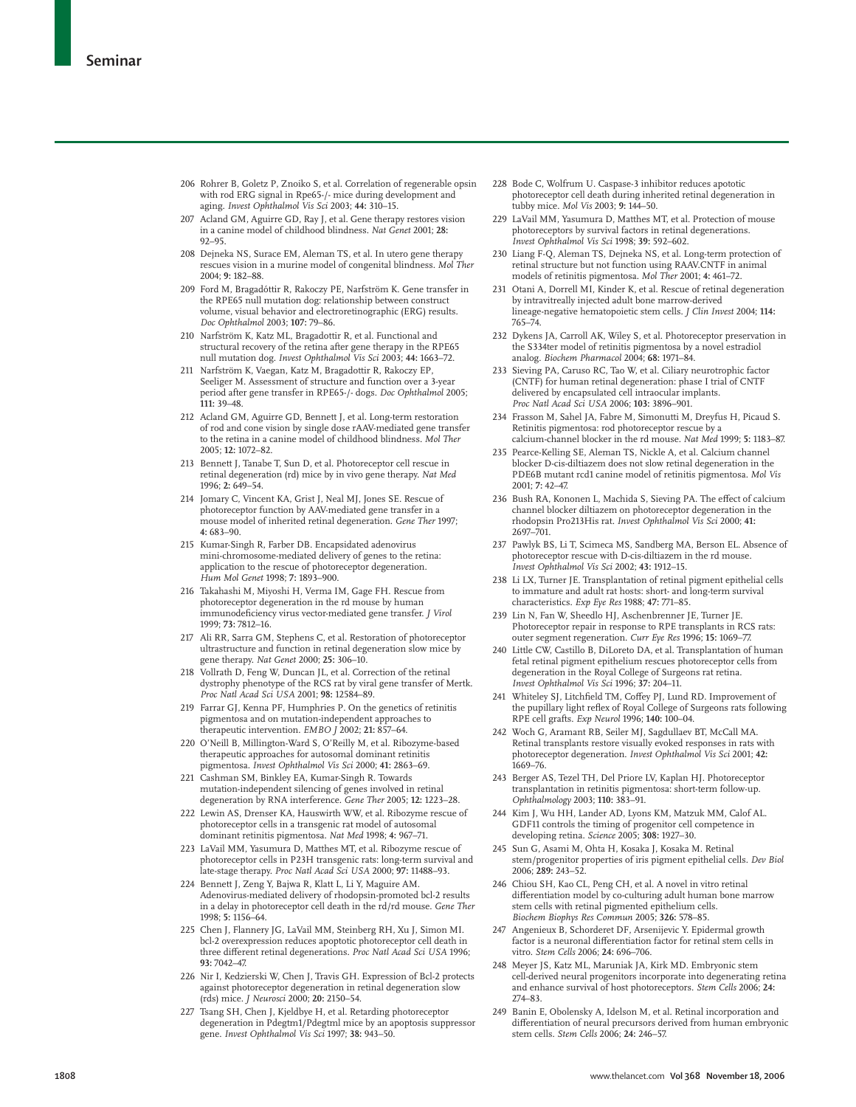- 206 Rohrer B, Goletz P, Znoiko S, et al. Correlation of regenerable opsin with rod ERG signal in Rpe65-/- mice during development and aging. *Invest Ophthalmol Vis Sci* 2003; **44:** 310–15.
- 207 Acland GM, Aguirre GD, Ray J, et al. Gene therapy restores vision in a canine model of childhood blindness. *Nat Genet* 2001; **28:** 92–95.
- 208 Dejneka NS, Surace EM, Aleman TS, et al. In utero gene therapy rescues vision in a murine model of congenital blindness. *Mol Ther* 2004; **9:** 182–88.
- 209 Ford M, Bragadóttir R, Rakoczy PE, Narfström K. Gene transfer in the RPE65 null mutation dog: relationship between construct volume, visual behavior and electroretinographic (ERG) results. *Doc Ophthalmol* 2003; **107:** 79–86.
- 210 Narfström K, Katz ML, Bragadottir R, et al. Functional and structural recovery of the retina after gene therapy in the RPE65 null mutation dog. *Invest Ophthalmol Vis Sci* 2003; **44:** 1663–72.
- 211 Narfström K, Vaegan, Katz M, Bragadottir R, Rakoczy EP, Seeliger M. Assessment of structure and function over a 3-year period after gene transfer in RPE65-/- dogs. *Doc Ophthalmol* 2005; **111:** 39–48.
- 212 Acland GM, Aguirre GD, Bennett J, et al. Long-term restoration of rod and cone vision by single dose rAAV-mediated gene transfer to the retina in a canine model of childhood blindness. *Mol Ther* 2005; **12:** 1072–82.
- 213 Bennett J, Tanabe T, Sun D, et al. Photoreceptor cell rescue in retinal degeneration (rd) mice by in vivo gene therapy. *Nat Med* 1996; **2:** 649–54.
- 214 Jomary C, Vincent KA, Grist J, Neal MJ, Jones SE. Rescue of photoreceptor function by AAV-mediated gene transfer in a mouse model of inherited retinal degeneration. *Gene Ther* 1997; **4:** 683–90.
- 215 Kumar-Singh R, Farber DB. Encapsidated adenovirus mini-chromosome-mediated delivery of genes to the retina: application to the rescue of photoreceptor degeneration. *Hum Mol Genet* 1998; **7:** 1893–900.
- 216 Takahashi M, Miyoshi H, Verma IM, Gage FH. Rescue from photoreceptor degeneration in the rd mouse by human immunodeficiency virus vector-mediated gene transfer. *J Virol* 1999; **73:** 7812–16.
- 217 Ali RR, Sarra GM, Stephens C, et al. Restoration of photoreceptor ultrastructure and function in retinal degeneration slow mice by gene therapy. *Nat Genet* 2000; **25:** 306–10.
- 218 Vollrath D, Feng W, Duncan JL, et al. Correction of the retinal dystrophy phenotype of the RCS rat by viral gene transfer of Mertk. *Proc Natl Acad Sci USA* 2001; **98:** 12584–89.
- 219 Farrar GJ, Kenna PF, Humphries P. On the genetics of retinitis pigmentosa and on mutation-independent approaches to therapeutic intervention. *EMBO J* 2002; **21:** 857–64.
- 220 O'Neill B, Millington-Ward S, O'Reilly M, et al. Ribozyme-based therapeutic approaches for autosomal dominant retinitis pigmentosa. *Invest Ophthalmol Vis Sci* 2000; **41:** 2863–69.
- 221 Cashman SM, Binkley EA, Kumar-Singh R. Towards mutation-independent silencing of genes involved in retinal degeneration by RNA interference. *Gene Ther* 2005; **12:** 1223–28.
- 222 Lewin AS, Drenser KA, Hauswirth WW, et al. Ribozyme rescue of photoreceptor cells in a transgenic rat model of autosomal dominant retinitis pigmentosa. *Nat Med* 1998; **4:** 967–71.
- 223 LaVail MM, Yasumura D, Matthes MT, et al. Ribozyme rescue of photoreceptor cells in P23H transgenic rats: long-term survival and late-stage therapy. *Proc Natl Acad Sci USA* 2000; **97:** 11488–93.
- 224 Bennett J, Zeng Y, Bajwa R, Klatt L, Li Y, Maguire AM. Adenovirus-mediated delivery of rhodopsin-promoted bcl-2 results in a delay in photoreceptor cell death in the rd/rd mouse. *Gene Ther* 1998; **5:** 1156–64.
- 225 Chen J, Flannery JG, LaVail MM, Steinberg RH, Xu J, Simon MI. bcl-2 overexpression reduces apoptotic photoreceptor cell death in three different retinal degenerations. *Proc Natl Acad Sci USA* 1996; **93:** 7042–47.
- 226 Nir I, Kedzierski W, Chen J, Travis GH. Expression of Bcl-2 protects against photoreceptor degeneration in retinal degeneration slow (rds) mice. *J Neurosci* 2000; **20:** 2150–54.
- 227 Tsang SH, Chen J, Kjeldbye H, et al. Retarding photoreceptor degeneration in Pdegtm1/Pdegtml mice by an apoptosis suppressor gene. *Invest Ophthalmol Vis Sci* 1997; **38:** 943–50.
- 228 Bode C, Wolfrum U. Caspase-3 inhibitor reduces apototic photoreceptor cell death during inherited retinal degeneration in tubby mice. *Mol Vis* 2003; **9:** 144–50.
- 229 LaVail MM, Yasumura D, Matthes MT, et al. Protection of mouse photoreceptors by survival factors in retinal degenerations. *Invest Ophthalmol Vis Sci* 1998; **39:** 592–602.
- 230 Liang F-Q, Aleman TS, Dejneka NS, et al. Long-term protection of retinal structure but not function using RAAV.CNTF in animal models of retinitis pigmentosa. *Mol Ther* 2001; **4:** 461–72.
- 231 Otani A, Dorrell MI, Kinder K, et al. Rescue of retinal degeneration by intravitreally injected adult bone marrow-derived lineage-negative hematopoietic stem cells. *J Clin Invest* 2004; **114:** 765–74.
- 232 Dykens JA, Carroll AK, Wiley S, et al. Photoreceptor preservation in the S334ter model of retinitis pigmentosa by a novel estradiol analog. *Biochem Pharmacol* 2004; **68:** 1971–84.
- 233 Sieving PA, Caruso RC, Tao W, et al. Ciliary neurotrophic factor (CNTF) for human retinal degeneration: phase I trial of CNTF delivered by encapsulated cell intraocular implants. *Proc Natl Acad Sci USA* 2006; **103:** 3896–901.
- 234 Frasson M, Sahel JA, Fabre M, Simonutti M, Dreyfus H, Picaud S. Retinitis pigmentosa: rod photoreceptor rescue by a calcium-channel blocker in the rd mouse. *Nat Med* 1999; **5:** 1183–87.
- 235 Pearce-Kelling SE, Aleman TS, Nickle A, et al. Calcium channel blocker D-cis-diltiazem does not slow retinal degeneration in the PDE6B mutant rcd1 canine model of retinitis pigmentosa. *Mol Vis* 2001; **7:** 42–47.
- 236 Bush RA, Kononen L, Machida S, Sieving PA. The effect of calcium channel blocker diltiazem on photoreceptor degeneration in the rhodopsin Pro213His rat. *Invest Ophthalmol Vis Sci* 2000; **41:** 2697–701.
- 237 Pawlyk BS, Li T, Scimeca MS, Sandberg MA, Berson EL. Absence of photoreceptor rescue with D-cis-diltiazem in the rd mouse. *Invest Ophthalmol Vis Sci* 2002; **43:** 1912–15.
- 238 Li LX, Turner JE. Transplantation of retinal pigment epithelial cells to immature and adult rat hosts: short- and long-term survival characteristics. *Exp Eye Res* 1988; **47:** 771–85.
- 239 Lin N, Fan W, Sheedlo HJ, Aschenbrenner JE, Turner JE. Photoreceptor repair in response to RPE transplants in RCS rats: outer segment regeneration. *Curr Eye Res* 1996; **15:** 1069–77.
- 240 Little CW, Castillo B, DiLoreto DA, et al. Transplantation of human fetal retinal pigment epithelium rescues photoreceptor cells from degeneration in the Royal College of Surgeons rat retina. *Invest Ophthalmol Vis Sci* 1996; **37:** 204–11.
- 241 Whiteley SJ, Litchfield TM, Coffey PJ, Lund RD. Improvement of the pupillary light reflex of Royal College of Surgeons rats following RPE cell grafts. *Exp Neurol* 1996; **140:** 100–04.
- 242 Woch G, Aramant RB, Seiler MJ, Sagdullaev BT, McCall MA. Retinal transplants restore visually evoked responses in rats with photoreceptor degeneration. *Invest Ophthalmol Vis Sci* 2001; **42:** 1669–76.
- 243 Berger AS, Tezel TH, Del Priore LV, Kaplan HJ. Photoreceptor transplantation in retinitis pigmentosa: short-term follow-up. *Ophthalmology* 2003; **110:** 383–91.
- 244 Kim J, Wu HH, Lander AD, Lyons KM, Matzuk MM, Calof AL. GDF11 controls the timing of progenitor cell competence in developing retina. *Science* 2005; **308:** 1927–30.
- 245 Sun G, Asami M, Ohta H, Kosaka J, Kosaka M. Retinal stem/progenitor properties of iris pigment epithelial cells. *Dev Biol* 2006; **289:** 243–52.
- 246 Chiou SH, Kao CL, Peng CH, et al. A novel in vitro retinal differentiation model by co-culturing adult human bone marrow stem cells with retinal pigmented epithelium cells. *Biochem Biophys Res Commun* 2005; **326:** 578–85.
- 247 Angenieux B, Schorderet DF, Arsenijevic Y. Epidermal growth factor is a neuronal differentiation factor for retinal stem cells in vitro. *Stem Cells* 2006; **24:** 696–706.
- 248 Meyer JS, Katz ML, Maruniak JA, Kirk MD. Embryonic stem cell-derived neural progenitors incorporate into degenerating retina and enhance survival of host photoreceptors. *Stem Cells* 2006; **24:** 274–83.
- 249 Banin E, Obolensky A, Idelson M, et al. Retinal incorporation and differentiation of neural precursors derived from human embryonic stem cells. *Stem Cells* 2006; **24:** 246–57.